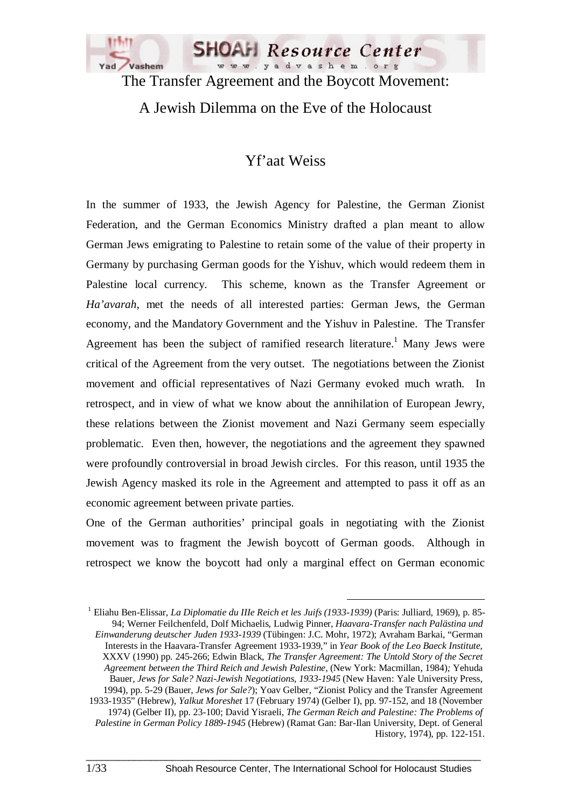

The Transfer Agreement and the Boycott Movement:

A Jewish Dilemma on the Eve of the Holocaust

# Yf'aat Weiss

In the summer of 1933, the Jewish Agency for Palestine, the German Zionist Federation, and the German Economics Ministry drafted a plan meant to allow German Jews emigrating to Palestine to retain some of the value of their property in Germany by purchasing German goods for the Yishuv, which would redeem them in Palestine local currency. This scheme, known as the Transfer Agreement or *Ha'avarah*, met the needs of all interested parties: German Jews, the German economy, and the Mandatory Government and the Yishuv in Palestine. The Transfer Agreement has been the subject of ramified research literature.<sup>1</sup> Many Jews were critical of the Agreement from the very outset. The negotiations between the Zionist movement and official representatives of Nazi Germany evoked much wrath. In retrospect, and in view of what we know about the annihilation of European Jewry, these relations between the Zionist movement and Nazi Germany seem especially problematic. Even then, however, the negotiations and the agreement they spawned were profoundly controversial in broad Jewish circles. For this reason, until 1935 the Jewish Agency masked its role in the Agreement and attempted to pass it off as an economic agreement between private parties.

One of the German authorities' principal goals in negotiating with the Zionist movement was to fragment the Jewish boycott of German goods. Although in retrospect we know the boycott had only a marginal effect on German economic

 1 Eliahu Ben-Elissar, *La Diplomatie du IIIe Reich et les Juifs (1933-1939)* (Paris: Julliard, 1969), p. 85- 94; Werner Feilchenfeld, Dolf Michaelis, Ludwig Pinner, *Haavara-Transfer nach Palästina und Einwanderung deutscher Juden 1933-1939* (Tübingen: J.C. Mohr, 1972); Avraham Barkai, "German Interests in the Haavara-Transfer Agreement 1933-1939," in *Year Book of the Leo Baeck Institute*, XXXV (1990) pp. 245-266; Edwin Black, *The Transfer Agreement: The Untold Story of the Secret Agreement between the Third Reich and Jewish Palestine,* (New York: Macmillan, 1984)*;* Yehuda Bauer*, Jews for Sale? Nazi-Jewish Negotiations, 1933-1945* (New Haven: Yale University Press, 1994), pp. 5-29 (Bauer, *Jews for Sale?*); Yoav Gelber, "Zionist Policy and the Transfer Agreement 1933-1935" (Hebrew), *Yalkut Moreshet* 17 (February 1974) (Gelber I), pp. 97-152, and 18 (November 1974) (Gelber II), pp. 23-100; David Yisraeli, *The German Reich and Palestine: The Problems of Palestine in German Policy 1889-1945* (Hebrew) (Ramat Gan: Bar-Ilan University, Dept. of General History, 1974), pp. 122-151.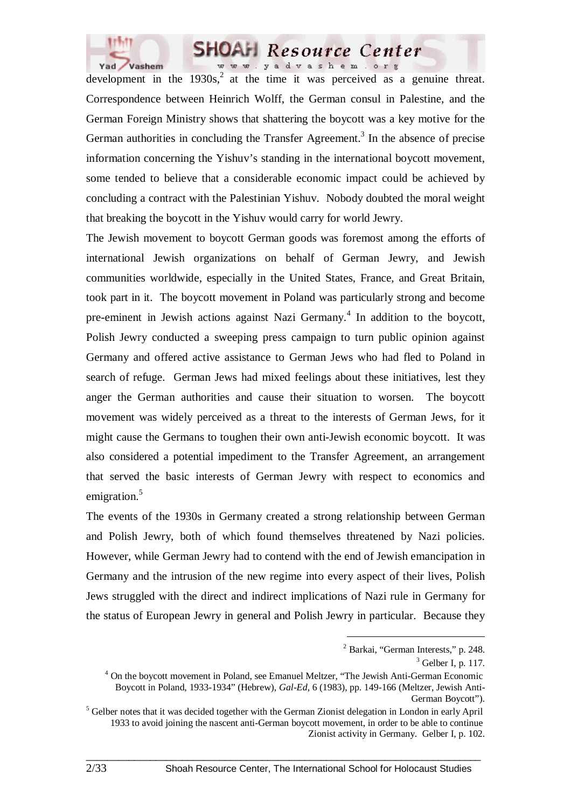

development in the  $1930s<sup>2</sup>$  at the time it was perceived as a genuine threat. Correspondence between Heinrich Wolff, the German consul in Palestine, and the German Foreign Ministry shows that shattering the boycott was a key motive for the German authorities in concluding the Transfer Agreement.<sup>3</sup> In the absence of precise information concerning the Yishuv's standing in the international boycott movement, some tended to believe that a considerable economic impact could be achieved by concluding a contract with the Palestinian Yishuv. Nobody doubted the moral weight that breaking the boycott in the Yishuv would carry for world Jewry.

The Jewish movement to boycott German goods was foremost among the efforts of international Jewish organizations on behalf of German Jewry, and Jewish communities worldwide, especially in the United States, France, and Great Britain, took part in it. The boycott movement in Poland was particularly strong and become pre-eminent in Jewish actions against Nazi Germany.<sup>4</sup> In addition to the boycott, Polish Jewry conducted a sweeping press campaign to turn public opinion against Germany and offered active assistance to German Jews who had fled to Poland in search of refuge. German Jews had mixed feelings about these initiatives, lest they anger the German authorities and cause their situation to worsen. The boycott movement was widely perceived as a threat to the interests of German Jews, for it might cause the Germans to toughen their own anti-Jewish economic boycott. It was also considered a potential impediment to the Transfer Agreement, an arrangement that served the basic interests of German Jewry with respect to economics and emigration.<sup>5</sup>

The events of the 1930s in Germany created a strong relationship between German and Polish Jewry, both of which found themselves threatened by Nazi policies. However, while German Jewry had to contend with the end of Jewish emancipation in Germany and the intrusion of the new regime into every aspect of their lives, Polish Jews struggled with the direct and indirect implications of Nazi rule in Germany for the status of European Jewry in general and Polish Jewry in particular. Because they

 $\_$  ,  $\_$  ,  $\_$  ,  $\_$  ,  $\_$  ,  $\_$  ,  $\_$  ,  $\_$  ,  $\_$  ,  $\_$  ,  $\_$  ,  $\_$  ,  $\_$  ,  $\_$  ,  $\_$  ,  $\_$  ,  $\_$  ,  $\_$  ,  $\_$ 

 $\overline{a}$ 

<sup>&</sup>lt;sup>2</sup> Barkai, "German Interests," p. 248.

 $3$  Gelber I, p. 117.

<sup>&</sup>lt;sup>4</sup> On the boycott movement in Poland, see Emanuel Meltzer, "The Jewish Anti-German Economic Boycott in Poland, 1933-1934" (Hebrew), *Gal-Ed*, 6 (1983), pp. 149-166 (Meltzer, Jewish Anti-German Boycott").

<sup>&</sup>lt;sup>5</sup> Gelber notes that it was decided together with the German Zionist delegation in London in early April 1933 to avoid joining the nascent anti-German boycott movement, in order to be able to continue Zionist activity in Germany. Gelber I, p. 102.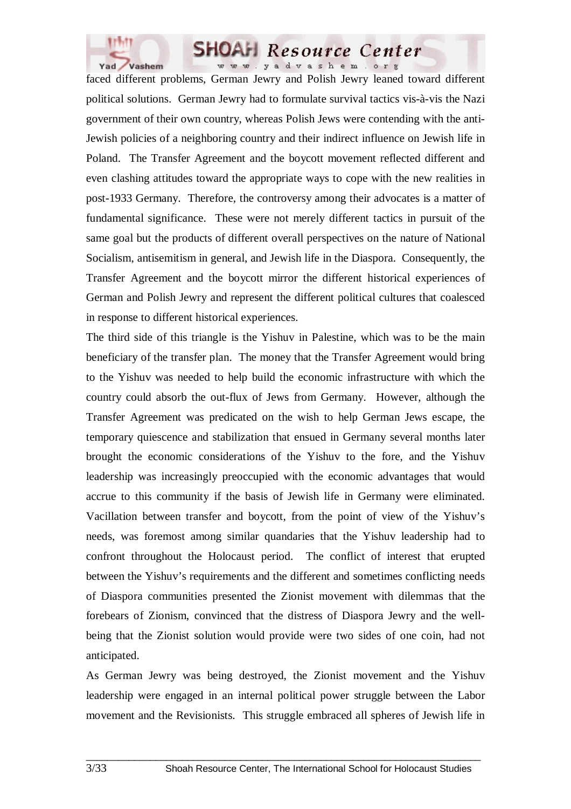

faced different problems, German Jewry and Polish Jewry leaned toward different political solutions. German Jewry had to formulate survival tactics vis-à-vis the Nazi government of their own country, whereas Polish Jews were contending with the anti-Jewish policies of a neighboring country and their indirect influence on Jewish life in Poland. The Transfer Agreement and the boycott movement reflected different and even clashing attitudes toward the appropriate ways to cope with the new realities in post-1933 Germany. Therefore, the controversy among their advocates is a matter of fundamental significance. These were not merely different tactics in pursuit of the same goal but the products of different overall perspectives on the nature of National Socialism, antisemitism in general, and Jewish life in the Diaspora. Consequently, the Transfer Agreement and the boycott mirror the different historical experiences of German and Polish Jewry and represent the different political cultures that coalesced in response to different historical experiences.

The third side of this triangle is the Yishuv in Palestine, which was to be the main beneficiary of the transfer plan. The money that the Transfer Agreement would bring to the Yishuv was needed to help build the economic infrastructure with which the country could absorb the out-flux of Jews from Germany. However, although the Transfer Agreement was predicated on the wish to help German Jews escape, the temporary quiescence and stabilization that ensued in Germany several months later brought the economic considerations of the Yishuv to the fore, and the Yishuv leadership was increasingly preoccupied with the economic advantages that would accrue to this community if the basis of Jewish life in Germany were eliminated. Vacillation between transfer and boycott, from the point of view of the Yishuv's needs, was foremost among similar quandaries that the Yishuv leadership had to confront throughout the Holocaust period. The conflict of interest that erupted between the Yishuv's requirements and the different and sometimes conflicting needs of Diaspora communities presented the Zionist movement with dilemmas that the forebears of Zionism, convinced that the distress of Diaspora Jewry and the wellbeing that the Zionist solution would provide were two sides of one coin, had not anticipated.

As German Jewry was being destroyed, the Zionist movement and the Yishuv leadership were engaged in an internal political power struggle between the Labor movement and the Revisionists. This struggle embraced all spheres of Jewish life in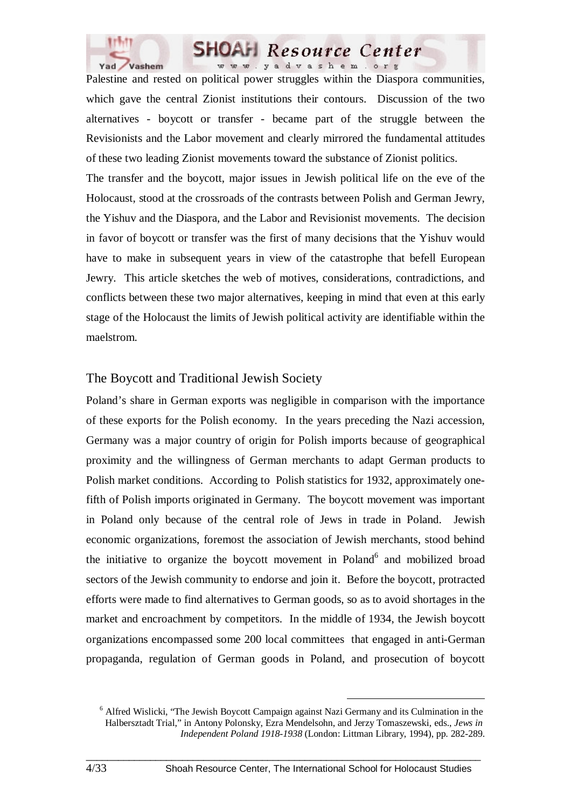

Palestine and rested on political power struggles within the Diaspora communities, which gave the central Zionist institutions their contours. Discussion of the two alternatives - boycott or transfer - became part of the struggle between the Revisionists and the Labor movement and clearly mirrored the fundamental attitudes of these two leading Zionist movements toward the substance of Zionist politics.

The transfer and the boycott, major issues in Jewish political life on the eve of the Holocaust, stood at the crossroads of the contrasts between Polish and German Jewry, the Yishuv and the Diaspora, and the Labor and Revisionist movements. The decision in favor of boycott or transfer was the first of many decisions that the Yishuv would have to make in subsequent years in view of the catastrophe that befell European Jewry. This article sketches the web of motives, considerations, contradictions, and conflicts between these two major alternatives, keeping in mind that even at this early stage of the Holocaust the limits of Jewish political activity are identifiable within the maelstrom.

#### The Boycott and Traditional Jewish Society

Poland's share in German exports was negligible in comparison with the importance of these exports for the Polish economy. In the years preceding the Nazi accession, Germany was a major country of origin for Polish imports because of geographical proximity and the willingness of German merchants to adapt German products to Polish market conditions. According to Polish statistics for 1932, approximately onefifth of Polish imports originated in Germany. The boycott movement was important in Poland only because of the central role of Jews in trade in Poland. Jewish economic organizations, foremost the association of Jewish merchants, stood behind the initiative to organize the boycott movement in Poland<sup>6</sup> and mobilized broad sectors of the Jewish community to endorse and join it. Before the boycott, protracted efforts were made to find alternatives to German goods, so as to avoid shortages in the market and encroachment by competitors. In the middle of 1934, the Jewish boycott organizations encompassed some 200 local committees that engaged in anti-German propaganda, regulation of German goods in Poland, and prosecution of boycott

 <sup>6</sup> Alfred Wislicki, "The Jewish Boycott Campaign against Nazi Germany and its Culmination in the Halbersztadt Trial," in Antony Polonsky, Ezra Mendelsohn, and Jerzy Tomaszewski, eds., *Jews in Independent Poland 1918-1938* (London: Littman Library, 1994), pp. 282-289.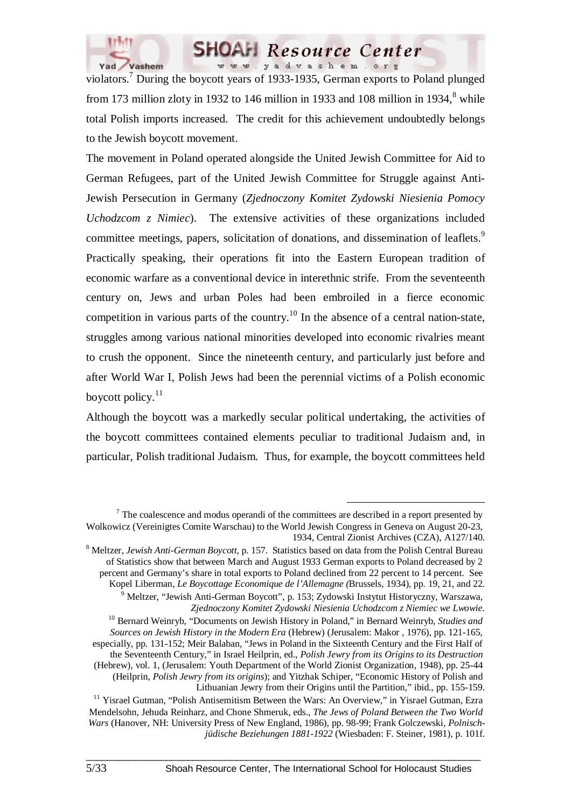

violators.<sup>7</sup> During the boycott years of 1933-1935, German exports to Poland plunged from 173 million zloty in 1932 to 146 million in 1933 and 108 million in 1934, $^8$  while total Polish imports increased. The credit for this achievement undoubtedly belongs to the Jewish boycott movement.

The movement in Poland operated alongside the United Jewish Committee for Aid to German Refugees, part of the United Jewish Committee for Struggle against Anti-Jewish Persecution in Germany (*Zjednoczony Komitet Zydowski Niesienia Pomocy Uchodzcom z Nimiec*). The extensive activities of these organizations included committee meetings, papers, solicitation of donations, and dissemination of leaflets.<sup>9</sup> Practically speaking, their operations fit into the Eastern European tradition of economic warfare as a conventional device in interethnic strife. From the seventeenth century on, Jews and urban Poles had been embroiled in a fierce economic competition in various parts of the country.<sup>10</sup> In the absence of a central nation-state, struggles among various national minorities developed into economic rivalries meant to crush the opponent. Since the nineteenth century, and particularly just before and after World War I, Polish Jews had been the perennial victims of a Polish economic boycott policy. $11$ 

Although the boycott was a markedly secular political undertaking, the activities of the boycott committees contained elements peculiar to traditional Judaism and, in particular, Polish traditional Judaism. Thus, for example, the boycott committees held

The coalescence and modus operandi of the committees are described in a report presented by Wolkowicz (Vereinigtes Comite Warschau) to the World Jewish Congress in Geneva on August 20-23, 1934, Central Zionist Archives (CZA), A127/140.

<sup>8</sup> Meltzer, *Jewish Anti-German Boycott*, p. 157. Statistics based on data from the Polish Central Bureau of Statistics show that between March and August 1933 German exports to Poland decreased by 2 percent and Germany's share in total exports to Poland declined from 22 percent to 14 percent. See Kopel Liberman, *Le Boycottage Economique de l'Allemagne (*Brussels, 1934), pp. 19, 21, and 22.

<sup>&</sup>lt;sup>9</sup> Meltzer, "Jewish Anti-German Boycott", p. 153; Zydowski Instytut Historyczny, Warszawa, *Zjednoczony Komitet Zydowski Niesienia Uchodzcom z Niemiec we Lwowie.*

<sup>10</sup> Bernard Weinryb, "Documents on Jewish History in Poland," in Bernard Weinryb, *Studies and Sources on Jewish History in the Modern Era* (Hebrew) (Jerusalem: Makor , 1976), pp. 121-165, especially, pp. 131-152; Meir Balaban, "Jews in Poland in the Sixteenth Century and the First Half of the Seventeenth Century," in Israel Heilprin, ed., *Polish Jewry from its Origins to its Destruction* (Hebrew), vol. 1, (Jerusalem: Youth Department of the World Zionist Organization, 1948), pp. 25-44 (Heilprin, *Polish Jewry from its origins*); and Yitzhak Schiper, "Economic History of Polish and Lithuanian Jewry from their Origins until the Partition," ibid., pp. 155-159.

<sup>&</sup>lt;sup>11</sup> Yisrael Gutman, "Polish Antisemitism Between the Wars: An Overview," in Yisrael Gutman, Ezra Mendelsohn, Jehuda Reinharz, and Chone Shmeruk, eds., *The Jews of Poland Between the Two World Wars* (Hanover, NH: University Press of New England, 1986), pp. 98-99; Frank Golczewski, *Polnischjüdische Beziehungen 1881-1922* (Wiesbaden: F. Steiner, 1981), p. 101f.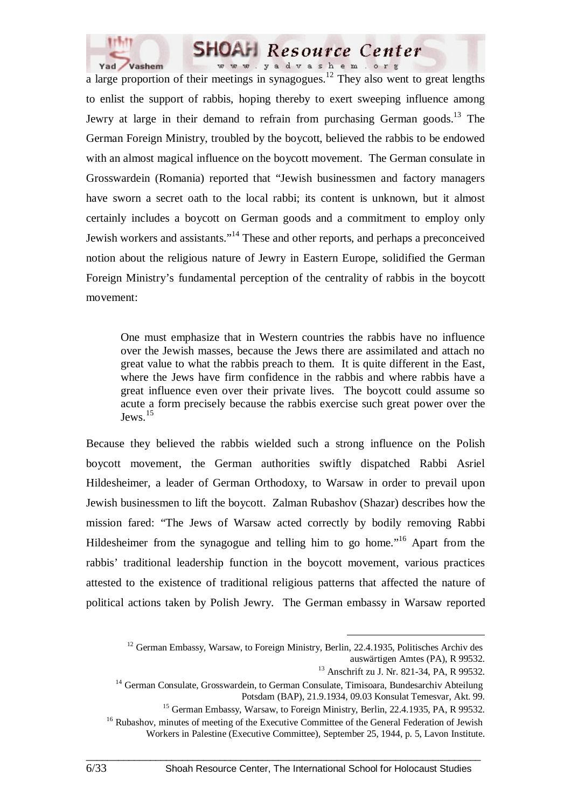

a large proportion of their meetings in synagogues.<sup>12</sup> They also went to great lengths to enlist the support of rabbis, hoping thereby to exert sweeping influence among Jewry at large in their demand to refrain from purchasing German goods.<sup>13</sup> The German Foreign Ministry, troubled by the boycott, believed the rabbis to be endowed with an almost magical influence on the boycott movement. The German consulate in Grosswardein (Romania) reported that "Jewish businessmen and factory managers have sworn a secret oath to the local rabbi; its content is unknown, but it almost certainly includes a boycott on German goods and a commitment to employ only Jewish workers and assistants."14 These and other reports, and perhaps a preconceived notion about the religious nature of Jewry in Eastern Europe, solidified the German Foreign Ministry's fundamental perception of the centrality of rabbis in the boycott movement:

One must emphasize that in Western countries the rabbis have no influence over the Jewish masses, because the Jews there are assimilated and attach no great value to what the rabbis preach to them. It is quite different in the East, where the Jews have firm confidence in the rabbis and where rabbis have a great influence even over their private lives. The boycott could assume so acute a form precisely because the rabbis exercise such great power over the  $J$ ews.<sup>15</sup>

Because they believed the rabbis wielded such a strong influence on the Polish boycott movement, the German authorities swiftly dispatched Rabbi Asriel Hildesheimer, a leader of German Orthodoxy, to Warsaw in order to prevail upon Jewish businessmen to lift the boycott. Zalman Rubashov (Shazar) describes how the mission fared: "The Jews of Warsaw acted correctly by bodily removing Rabbi Hildesheimer from the synagogue and telling him to go home."<sup>16</sup> Apart from the rabbis' traditional leadership function in the boycott movement, various practices attested to the existence of traditional religious patterns that affected the nature of political actions taken by Polish Jewry. The German embassy in Warsaw reported

 $12$  German Embassy, Warsaw, to Foreign Ministry, Berlin, 22.4.1935, Politisches Archiv des

auswärtigen Amtes (PA), R 99532.

<sup>&</sup>lt;sup>13</sup> Anschrift zu J. Nr. 821-34, PA, R 99532.

<sup>14</sup> German Consulate, Grosswardein, to German Consulate, Timisoara, Bundesarchiv Abteilung Potsdam (BAP), 21.9.1934, 09.03 Konsulat Temesvar, Akt. 99.

<sup>&</sup>lt;sup>15</sup> German Embassy, Warsaw, to Foreign Ministry, Berlin, 22.4.1935, PA, R 99532.

<sup>&</sup>lt;sup>16</sup> Rubashov, minutes of meeting of the Executive Committee of the General Federation of Jewish Workers in Palestine (Executive Committee), September 25, 1944, p. 5, Lavon Institute.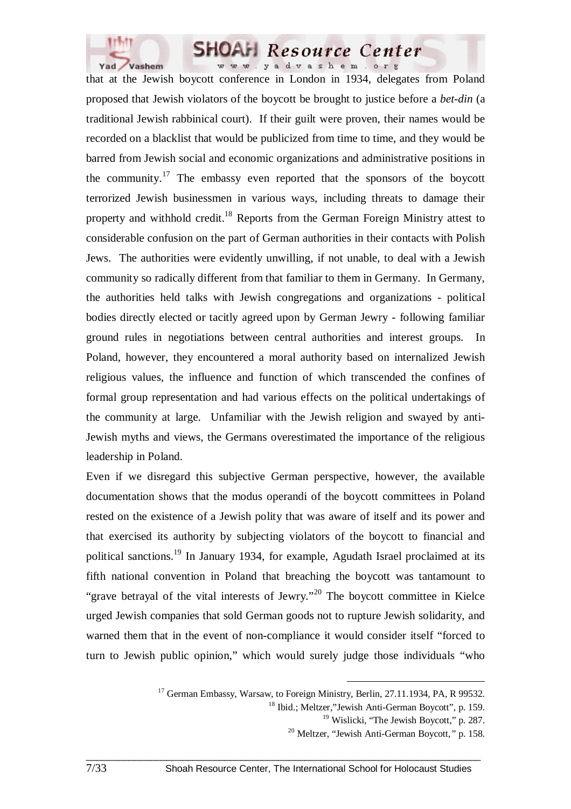

that at the Jewish boycott conference in London in 1934, delegates from Poland proposed that Jewish violators of the boycott be brought to justice before a *bet-din* (a traditional Jewish rabbinical court). If their guilt were proven, their names would be recorded on a blacklist that would be publicized from time to time, and they would be barred from Jewish social and economic organizations and administrative positions in the community.<sup>17</sup> The embassy even reported that the sponsors of the boycott terrorized Jewish businessmen in various ways, including threats to damage their property and withhold credit.<sup>18</sup> Reports from the German Foreign Ministry attest to considerable confusion on the part of German authorities in their contacts with Polish Jews. The authorities were evidently unwilling, if not unable, to deal with a Jewish community so radically different from that familiar to them in Germany. In Germany, the authorities held talks with Jewish congregations and organizations - political bodies directly elected or tacitly agreed upon by German Jewry - following familiar ground rules in negotiations between central authorities and interest groups. In Poland, however, they encountered a moral authority based on internalized Jewish religious values, the influence and function of which transcended the confines of formal group representation and had various effects on the political undertakings of the community at large. Unfamiliar with the Jewish religion and swayed by anti-Jewish myths and views, the Germans overestimated the importance of the religious leadership in Poland.

Even if we disregard this subjective German perspective, however, the available documentation shows that the modus operandi of the boycott committees in Poland rested on the existence of a Jewish polity that was aware of itself and its power and that exercised its authority by subjecting violators of the boycott to financial and political sanctions.19 In January 1934, for example, Agudath Israel proclaimed at its fifth national convention in Poland that breaching the boycott was tantamount to "grave betrayal of the vital interests of Jewry."20 The boycott committee in Kielce urged Jewish companies that sold German goods not to rupture Jewish solidarity, and warned them that in the event of non-compliance it would consider itself "forced to turn to Jewish public opinion," which would surely judge those individuals "who

<sup>&</sup>lt;sup>17</sup> German Embassy, Warsaw, to Foreign Ministry, Berlin, 27.11.1934, PA, R 99532.

<sup>&</sup>lt;sup>18</sup> Ibid.: Meltzer,"Jewish Anti-German Boycott", p. 159.

<sup>&</sup>lt;sup>19</sup> Wislicki, "The Jewish Boycott," p. 287.

<sup>20</sup> Meltzer, "Jewish Anti-German Boycott,*"* p. 158.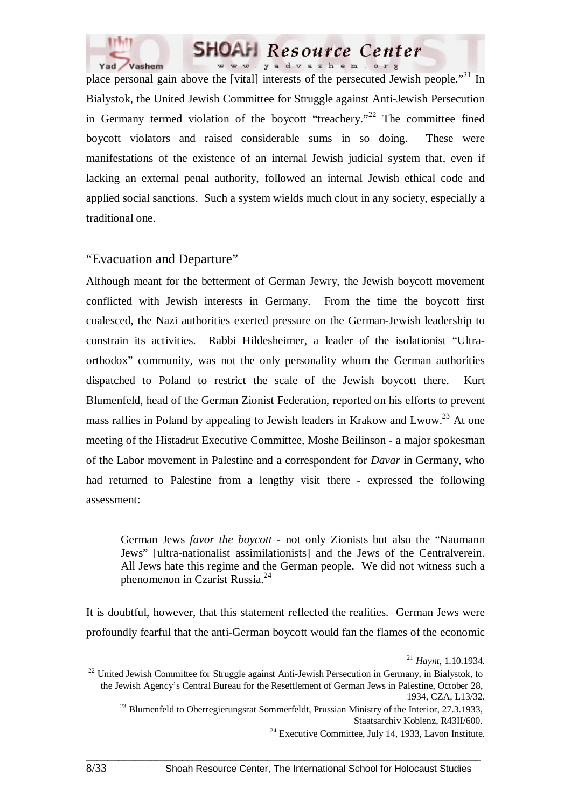



place personal gain above the [vital] interests of the persecuted Jewish people."<sup>21</sup> In Bialystok, the United Jewish Committee for Struggle against Anti-Jewish Persecution in Germany termed violation of the boycott "treachery."<sup>22</sup> The committee fined boycott violators and raised considerable sums in so doing. These were manifestations of the existence of an internal Jewish judicial system that, even if lacking an external penal authority, followed an internal Jewish ethical code and applied social sanctions. Such a system wields much clout in any society, especially a traditional one.

#### "Evacuation and Departure"

Although meant for the betterment of German Jewry, the Jewish boycott movement conflicted with Jewish interests in Germany. From the time the boycott first coalesced, the Nazi authorities exerted pressure on the German-Jewish leadership to constrain its activities. Rabbi Hildesheimer, a leader of the isolationist "Ultraorthodox" community, was not the only personality whom the German authorities dispatched to Poland to restrict the scale of the Jewish boycott there. Kurt Blumenfeld, head of the German Zionist Federation, reported on his efforts to prevent mass rallies in Poland by appealing to Jewish leaders in Krakow and Lwow.<sup>23</sup> At one meeting of the Histadrut Executive Committee, Moshe Beilinson - a major spokesman of the Labor movement in Palestine and a correspondent for *Davar* in Germany, who had returned to Palestine from a lengthy visit there - expressed the following assessment:

German Jews *favor the boycott* - not only Zionists but also the "Naumann Jews" [ultra-nationalist assimilationists] and the Jews of the Centralverein. All Jews hate this regime and the German people. We did not witness such a phenomenon in Czarist Russia.<sup>24</sup>

It is doubtful, however, that this statement reflected the realities. German Jews were profoundly fearful that the anti-German boycott would fan the flames of the economic

 <sup>21</sup> *Haynt*, 1.10.1934.

 $^{22}$  United Jewish Committee for Struggle against Anti-Jewish Persecution in Germany, in Bialystok, to the Jewish Agency's Central Bureau for the Resettlement of German Jews in Palestine, October 28, 1934, CZA, L13/32.

 $^{23}$  Blumenfeld to Oberregierungsrat Sommerfeldt, Prussian Ministry of the Interior, 27.3.1933,

Staatsarchiv Koblenz, R43II/600.<br><sup>24</sup> Executive Committee, July 14, 1933, Lavon Institute.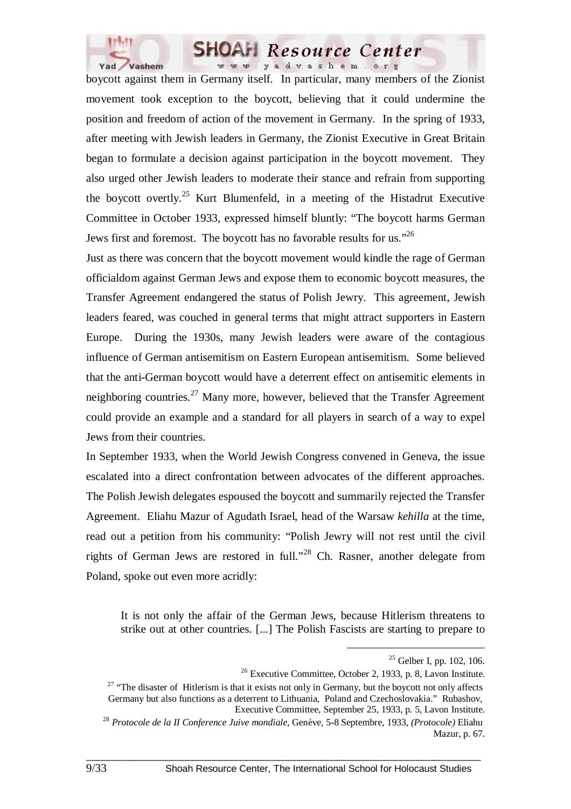

boycott against them in Germany itself. In particular, many members of the Zionist movement took exception to the boycott, believing that it could undermine the position and freedom of action of the movement in Germany. In the spring of 1933, after meeting with Jewish leaders in Germany, the Zionist Executive in Great Britain began to formulate a decision against participation in the boycott movement. They also urged other Jewish leaders to moderate their stance and refrain from supporting the boycott overtly.<sup>25</sup> Kurt Blumenfeld, in a meeting of the Histadrut Executive Committee in October 1933, expressed himself bluntly: "The boycott harms German Jews first and foremost. The boycott has no favorable results for us."26

Just as there was concern that the boycott movement would kindle the rage of German officialdom against German Jews and expose them to economic boycott measures, the Transfer Agreement endangered the status of Polish Jewry. This agreement, Jewish leaders feared, was couched in general terms that might attract supporters in Eastern Europe. During the 1930s, many Jewish leaders were aware of the contagious influence of German antisemitism on Eastern European antisemitism. Some believed that the anti-German boycott would have a deterrent effect on antisemitic elements in neighboring countries.<sup>27</sup> Many more, however, believed that the Transfer Agreement could provide an example and a standard for all players in search of a way to expel Jews from their countries.

In September 1933, when the World Jewish Congress convened in Geneva, the issue escalated into a direct confrontation between advocates of the different approaches. The Polish Jewish delegates espoused the boycott and summarily rejected the Transfer Agreement. Eliahu Mazur of Agudath Israel, head of the Warsaw *kehilla* at the time, read out a petition from his community: "Polish Jewry will not rest until the civil rights of German Jews are restored in full."28 Ch. Rasner, another delegate from Poland, spoke out even more acridly:

It is not only the affair of the German Jews, because Hitlerism threatens to strike out at other countries. [...] The Polish Fascists are starting to prepare to

 $25$  Gelber I, pp. 102, 106.

<sup>26</sup> Executive Committee, October 2, 1933, p. 8, Lavon Institute.

<sup>&</sup>lt;sup>27</sup> "The disaster of Hitlerism is that it exists not only in Germany, but the boycott not only affects Germany but also functions as a deterrent to Lithuania, Poland and Czechoslovakia." Rubashov, Executive Committee, September 25, 1933, p. 5, Lavon Institute.

<sup>28</sup> *Protocole de la II Conference Juive mondiale,* Genève, 5-8 Septembre, 1933, *(Protocole)* Eliahu Mazur, p. 67.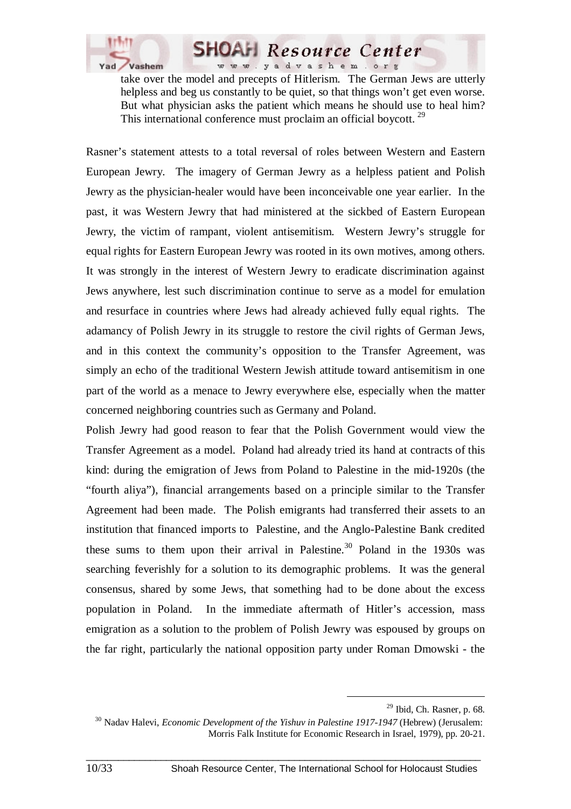

take over the model and precepts of Hitlerism. The German Jews are utterly helpless and beg us constantly to be quiet, so that things won't get even worse. But what physician asks the patient which means he should use to heal him? This international conference must proclaim an official boycott.<sup>29</sup>

**SHOAH Resource Center** www.yadvashem.org

Rasner's statement attests to a total reversal of roles between Western and Eastern European Jewry. The imagery of German Jewry as a helpless patient and Polish Jewry as the physician-healer would have been inconceivable one year earlier. In the past, it was Western Jewry that had ministered at the sickbed of Eastern European Jewry, the victim of rampant, violent antisemitism. Western Jewry's struggle for equal rights for Eastern European Jewry was rooted in its own motives, among others. It was strongly in the interest of Western Jewry to eradicate discrimination against Jews anywhere, lest such discrimination continue to serve as a model for emulation and resurface in countries where Jews had already achieved fully equal rights. The adamancy of Polish Jewry in its struggle to restore the civil rights of German Jews, and in this context the community's opposition to the Transfer Agreement, was simply an echo of the traditional Western Jewish attitude toward antisemitism in one part of the world as a menace to Jewry everywhere else, especially when the matter concerned neighboring countries such as Germany and Poland.

Polish Jewry had good reason to fear that the Polish Government would view the Transfer Agreement as a model. Poland had already tried its hand at contracts of this kind: during the emigration of Jews from Poland to Palestine in the mid-1920s (the "fourth aliya"), financial arrangements based on a principle similar to the Transfer Agreement had been made. The Polish emigrants had transferred their assets to an institution that financed imports to Palestine, and the Anglo-Palestine Bank credited these sums to them upon their arrival in Palestine.<sup>30</sup> Poland in the 1930s was searching feverishly for a solution to its demographic problems. It was the general consensus, shared by some Jews, that something had to be done about the excess population in Poland. In the immediate aftermath of Hitler's accession, mass emigration as a solution to the problem of Polish Jewry was espoused by groups on the far right, particularly the national opposition party under Roman Dmowski - the

 <sup>29</sup> Ibid, Ch. Rasner, p. 68.

<sup>30</sup> Nadav Halevi, *Economic Development of the Yishuv in Palestine 1917-1947* (Hebrew) (Jerusalem: Morris Falk Institute for Economic Research in Israel, 1979), pp. 20-21.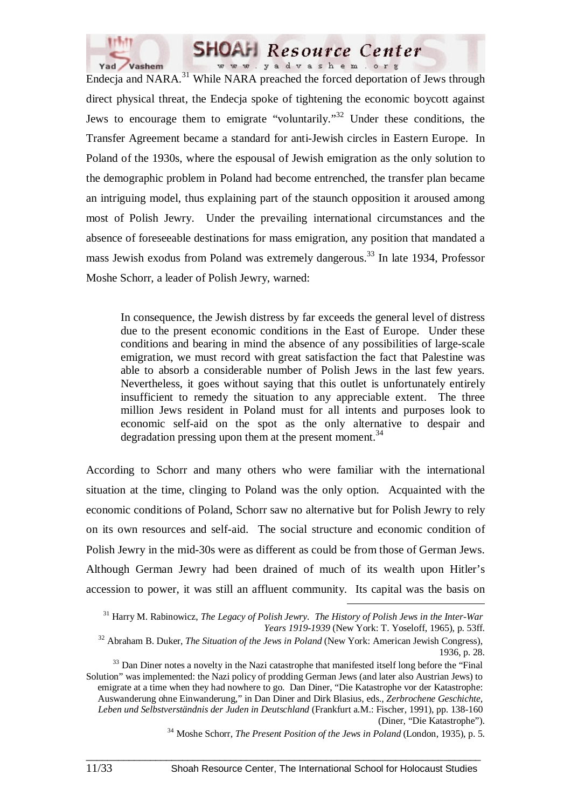



Endecja and NARA.<sup>31</sup> While NARA preached the forced deportation of Jews through direct physical threat, the Endecja spoke of tightening the economic boycott against Jews to encourage them to emigrate "voluntarily."32 Under these conditions, the Transfer Agreement became a standard for anti-Jewish circles in Eastern Europe. In Poland of the 1930s, where the espousal of Jewish emigration as the only solution to the demographic problem in Poland had become entrenched, the transfer plan became an intriguing model, thus explaining part of the staunch opposition it aroused among most of Polish Jewry. Under the prevailing international circumstances and the absence of foreseeable destinations for mass emigration, any position that mandated a mass Jewish exodus from Poland was extremely dangerous.<sup>33</sup> In late 1934, Professor Moshe Schorr, a leader of Polish Jewry, warned:

In consequence, the Jewish distress by far exceeds the general level of distress due to the present economic conditions in the East of Europe. Under these conditions and bearing in mind the absence of any possibilities of large-scale emigration, we must record with great satisfaction the fact that Palestine was able to absorb a considerable number of Polish Jews in the last few years. Nevertheless, it goes without saying that this outlet is unfortunately entirely insufficient to remedy the situation to any appreciable extent. The three million Jews resident in Poland must for all intents and purposes look to economic self-aid on the spot as the only alternative to despair and degradation pressing upon them at the present moment.<sup>34</sup>

According to Schorr and many others who were familiar with the international situation at the time, clinging to Poland was the only option. Acquainted with the economic conditions of Poland, Schorr saw no alternative but for Polish Jewry to rely on its own resources and self-aid. The social structure and economic condition of Polish Jewry in the mid-30s were as different as could be from those of German Jews. Although German Jewry had been drained of much of its wealth upon Hitler's accession to power, it was still an affluent community. Its capital was the basis on

 <sup>31</sup> Harry M. Rabinowicz, *The Legacy of Polish Jewry. The History of Polish Jews in the Inter-War Years 1919-1939* (New York: T. Yoseloff, 1965), p. 53ff.

<sup>32</sup> Abraham B. Duker, *The Situation of the Jews in Poland* (New York: American Jewish Congress), 1936, p. 28.

<sup>&</sup>lt;sup>33</sup> Dan Diner notes a novelty in the Nazi catastrophe that manifested itself long before the "Final" Solution" was implemented: the Nazi policy of prodding German Jews (and later also Austrian Jews) to emigrate at a time when they had nowhere to go. Dan Diner, "Die Katastrophe vor der Katastrophe: Auswanderung ohne Einwanderung," in Dan Diner and Dirk Blasius, eds., *Zerbrochene Geschichte, Leben und Selbstverständnis der Juden in Deutschland* (Frankfurt a.M.: Fischer, 1991), pp. 138-160 (Diner, "Die Katastrophe").

<sup>34</sup> Moshe Schorr, *The Present Position of the Jews in Poland* (London, 1935), p. 5.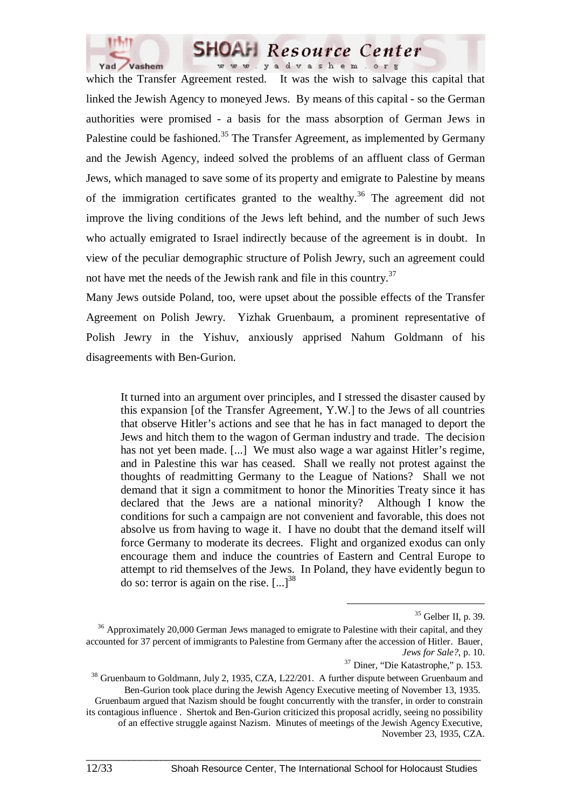

which the Transfer Agreement rested. It was the wish to salvage this capital that linked the Jewish Agency to moneyed Jews. By means of this capital - so the German authorities were promised - a basis for the mass absorption of German Jews in Palestine could be fashioned.<sup>35</sup> The Transfer Agreement, as implemented by Germany and the Jewish Agency, indeed solved the problems of an affluent class of German Jews, which managed to save some of its property and emigrate to Palestine by means of the immigration certificates granted to the wealthy.<sup>36</sup> The agreement did not improve the living conditions of the Jews left behind, and the number of such Jews who actually emigrated to Israel indirectly because of the agreement is in doubt. In view of the peculiar demographic structure of Polish Jewry, such an agreement could not have met the needs of the Jewish rank and file in this country.<sup>37</sup>

Many Jews outside Poland, too, were upset about the possible effects of the Transfer Agreement on Polish Jewry. Yizhak Gruenbaum, a prominent representative of Polish Jewry in the Yishuv, anxiously apprised Nahum Goldmann of his disagreements with Ben-Gurion.

It turned into an argument over principles, and I stressed the disaster caused by this expansion [of the Transfer Agreement, Y.W.] to the Jews of all countries that observe Hitler's actions and see that he has in fact managed to deport the Jews and hitch them to the wagon of German industry and trade. The decision has not yet been made. [...] We must also wage a war against Hitler's regime, and in Palestine this war has ceased. Shall we really not protest against the thoughts of readmitting Germany to the League of Nations? Shall we not demand that it sign a commitment to honor the Minorities Treaty since it has declared that the Jews are a national minority? Although I know the conditions for such a campaign are not convenient and favorable, this does not absolve us from having to wage it. I have no doubt that the demand itself will force Germany to moderate its decrees. Flight and organized exodus can only encourage them and induce the countries of Eastern and Central Europe to attempt to rid themselves of the Jews. In Poland, they have evidently begun to do so: terror is again on the rise.  $\left[ \ldots \right]^{38}$ 

 <sup>35</sup> Gelber II, p. 39.

<sup>&</sup>lt;sup>36</sup> Approximately 20,000 German Jews managed to emigrate to Palestine with their capital, and they accounted for 37 percent of immigrants to Palestine from Germany after the accession of Hitler. Bauer, *Jews for Sale?*, p. 10.

<sup>&</sup>lt;sup>37</sup> Diner, "Die Katastrophe," p. 153.<br><sup>38</sup> Gruenbaum to Goldmann, July 2, 1935, CZA, L22/201. A further dispute between Gruenbaum and Ben-Gurion took place during the Jewish Agency Executive meeting of November 13, 1935. Gruenbaum argued that Nazism should be fought concurrently with the transfer, in order to constrain its contagious influence . Shertok and Ben-Gurion criticized this proposal acridly, seeing no possibility of an effective struggle against Nazism. Minutes of meetings of the Jewish Agency Executive, November 23, 1935, CZA.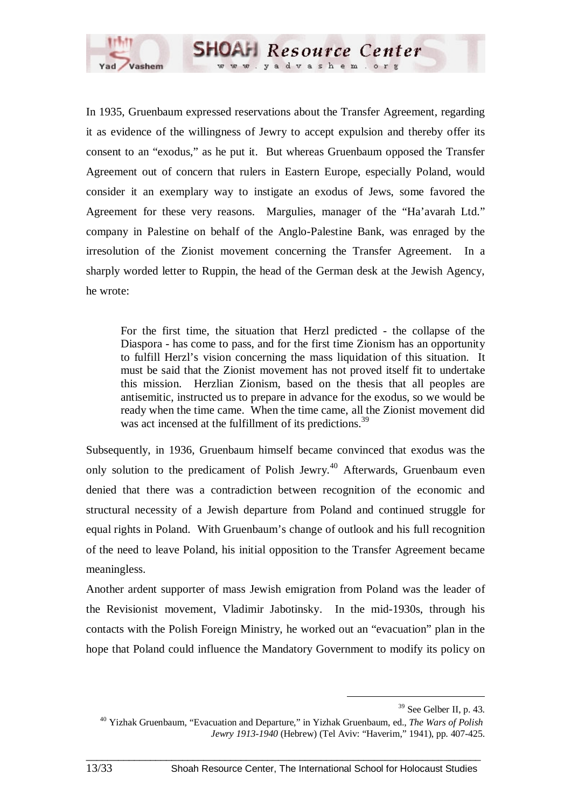

In 1935, Gruenbaum expressed reservations about the Transfer Agreement, regarding it as evidence of the willingness of Jewry to accept expulsion and thereby offer its consent to an "exodus," as he put it. But whereas Gruenbaum opposed the Transfer Agreement out of concern that rulers in Eastern Europe, especially Poland, would consider it an exemplary way to instigate an exodus of Jews, some favored the Agreement for these very reasons. Margulies, manager of the "Ha'avarah Ltd." company in Palestine on behalf of the Anglo-Palestine Bank, was enraged by the irresolution of the Zionist movement concerning the Transfer Agreement. In a sharply worded letter to Ruppin, the head of the German desk at the Jewish Agency, he wrote:

**SHOAH** Resource Center www.yadvashem.org

For the first time, the situation that Herzl predicted - the collapse of the Diaspora - has come to pass, and for the first time Zionism has an opportunity to fulfill Herzl's vision concerning the mass liquidation of this situation. It must be said that the Zionist movement has not proved itself fit to undertake this mission. Herzlian Zionism, based on the thesis that all peoples are antisemitic, instructed us to prepare in advance for the exodus, so we would be ready when the time came. When the time came, all the Zionist movement did was act incensed at the fulfillment of its predictions.<sup>39</sup>

Subsequently, in 1936, Gruenbaum himself became convinced that exodus was the only solution to the predicament of Polish Jewry.<sup>40</sup> Afterwards, Gruenbaum even denied that there was a contradiction between recognition of the economic and structural necessity of a Jewish departure from Poland and continued struggle for equal rights in Poland. With Gruenbaum's change of outlook and his full recognition of the need to leave Poland, his initial opposition to the Transfer Agreement became meaningless.

Another ardent supporter of mass Jewish emigration from Poland was the leader of the Revisionist movement, Vladimir Jabotinsky. In the mid-1930s, through his contacts with the Polish Foreign Ministry, he worked out an "evacuation" plan in the hope that Poland could influence the Mandatory Government to modify its policy on

 <sup>39</sup> See Gelber II, p. 43.

<sup>40</sup> Yizhak Gruenbaum, "Evacuation and Departure," in Yizhak Gruenbaum, ed., *The Wars of Polish Jewry 1913-1940* (Hebrew) (Tel Aviv: "Haverim," 1941), pp. 407-425.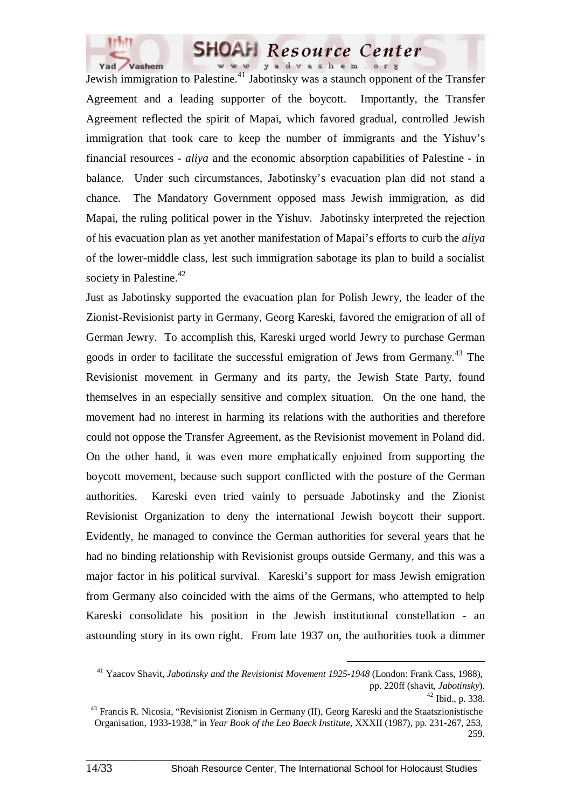

Jewish immigration to Palestine.<sup>41</sup> Jabotinsky was a staunch opponent of the Transfer Agreement and a leading supporter of the boycott. Importantly, the Transfer Agreement reflected the spirit of Mapai, which favored gradual, controlled Jewish immigration that took care to keep the number of immigrants and the Yishuv's financial resources - *aliya* and the economic absorption capabilities of Palestine - in balance. Under such circumstances, Jabotinsky's evacuation plan did not stand a chance. The Mandatory Government opposed mass Jewish immigration, as did Mapai, the ruling political power in the Yishuv. Jabotinsky interpreted the rejection of his evacuation plan as yet another manifestation of Mapai's efforts to curb the *aliya* of the lower-middle class, lest such immigration sabotage its plan to build a socialist society in Palestine.<sup>42</sup>

Just as Jabotinsky supported the evacuation plan for Polish Jewry, the leader of the Zionist-Revisionist party in Germany, Georg Kareski, favored the emigration of all of German Jewry. To accomplish this, Kareski urged world Jewry to purchase German goods in order to facilitate the successful emigration of Jews from Germany.<sup>43</sup> The Revisionist movement in Germany and its party, the Jewish State Party, found themselves in an especially sensitive and complex situation. On the one hand, the movement had no interest in harming its relations with the authorities and therefore could not oppose the Transfer Agreement, as the Revisionist movement in Poland did. On the other hand, it was even more emphatically enjoined from supporting the boycott movement, because such support conflicted with the posture of the German authorities. Kareski even tried vainly to persuade Jabotinsky and the Zionist Revisionist Organization to deny the international Jewish boycott their support. Evidently, he managed to convince the German authorities for several years that he had no binding relationship with Revisionist groups outside Germany, and this was a major factor in his political survival. Kareski's support for mass Jewish emigration from Germany also coincided with the aims of the Germans, who attempted to help Kareski consolidate his position in the Jewish institutional constellation - an astounding story in its own right. From late 1937 on, the authorities took a dimmer

 <sup>41</sup> Yaacov Shavit, *Jabotinsky and the Revisionist Movement 1925-1948* (London: Frank Cass, 1988), pp. 220ff (shavit, *Jabotinsky*).

<sup>42</sup> Ibid., p. 338.

<sup>43</sup> Francis R. Nicosia, "Revisionist Zionism in Germany (II), Georg Kareski and the Staatszionistische Organisation, 1933-1938," in *Year Book of the Leo Baeck Institute*, XXXII (1987), pp. 231-267, 253, 259.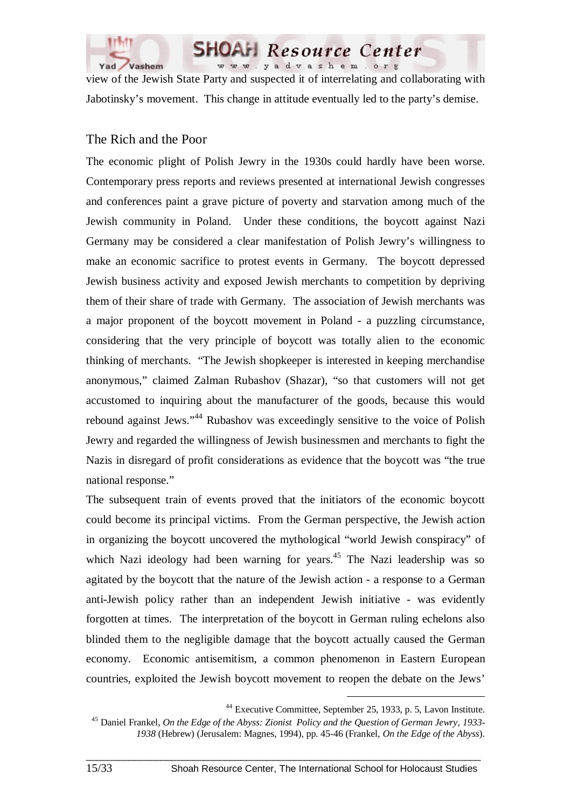

view of the Jewish State Party and suspected it of interrelating and collaborating with Jabotinsky's movement. This change in attitude eventually led to the party's demise.

**SHOAH** Resource Center www.yadvashem.org

### The Rich and the Poor

The economic plight of Polish Jewry in the 1930s could hardly have been worse. Contemporary press reports and reviews presented at international Jewish congresses and conferences paint a grave picture of poverty and starvation among much of the Jewish community in Poland. Under these conditions, the boycott against Nazi Germany may be considered a clear manifestation of Polish Jewry's willingness to make an economic sacrifice to protest events in Germany. The boycott depressed Jewish business activity and exposed Jewish merchants to competition by depriving them of their share of trade with Germany. The association of Jewish merchants was a major proponent of the boycott movement in Poland - a puzzling circumstance, considering that the very principle of boycott was totally alien to the economic thinking of merchants. "The Jewish shopkeeper is interested in keeping merchandise anonymous," claimed Zalman Rubashov (Shazar), "so that customers will not get accustomed to inquiring about the manufacturer of the goods, because this would rebound against Jews."44 Rubashov was exceedingly sensitive to the voice of Polish Jewry and regarded the willingness of Jewish businessmen and merchants to fight the Nazis in disregard of profit considerations as evidence that the boycott was "the true national response."

The subsequent train of events proved that the initiators of the economic boycott could become its principal victims. From the German perspective, the Jewish action in organizing the boycott uncovered the mythological "world Jewish conspiracy" of which Nazi ideology had been warning for years.<sup>45</sup> The Nazi leadership was so agitated by the boycott that the nature of the Jewish action - a response to a German anti-Jewish policy rather than an independent Jewish initiative - was evidently forgotten at times. The interpretation of the boycott in German ruling echelons also blinded them to the negligible damage that the boycott actually caused the German economy. Economic antisemitism, a common phenomenon in Eastern European countries, exploited the Jewish boycott movement to reopen the debate on the Jews'

 <sup>44</sup> Executive Committee, September 25, 1933, p. 5, Lavon Institute.

<sup>45</sup> Daniel Frankel, *On the Edge of the Abyss: Zionist Policy and the Question of German Jewry, 1933- 1938* (Hebrew) (Jerusalem: Magnes, 1994), pp. 45-46 (Frankel, *On the Edge of the Abyss*).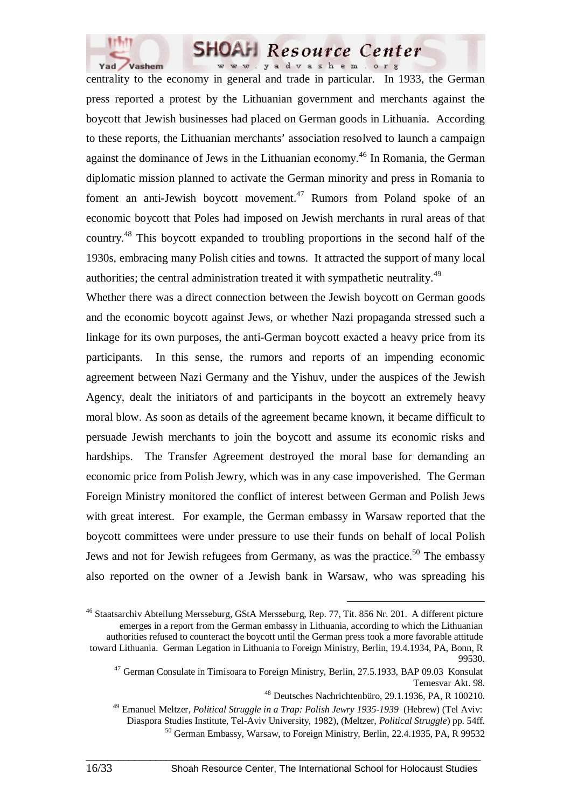

centrality to the economy in general and trade in particular. In 1933, the German press reported a protest by the Lithuanian government and merchants against the boycott that Jewish businesses had placed on German goods in Lithuania. According to these reports, the Lithuanian merchants' association resolved to launch a campaign against the dominance of Jews in the Lithuanian economy.<sup>46</sup> In Romania, the German diplomatic mission planned to activate the German minority and press in Romania to foment an anti-Jewish boycott movement.<sup>47</sup> Rumors from Poland spoke of an economic boycott that Poles had imposed on Jewish merchants in rural areas of that country.48 This boycott expanded to troubling proportions in the second half of the 1930s, embracing many Polish cities and towns. It attracted the support of many local authorities; the central administration treated it with sympathetic neutrality.<sup>49</sup>

Whether there was a direct connection between the Jewish boycott on German goods and the economic boycott against Jews, or whether Nazi propaganda stressed such a linkage for its own purposes, the anti-German boycott exacted a heavy price from its participants. In this sense, the rumors and reports of an impending economic agreement between Nazi Germany and the Yishuv, under the auspices of the Jewish Agency, dealt the initiators of and participants in the boycott an extremely heavy moral blow. As soon as details of the agreement became known, it became difficult to persuade Jewish merchants to join the boycott and assume its economic risks and hardships. The Transfer Agreement destroyed the moral base for demanding an economic price from Polish Jewry, which was in any case impoverished. The German Foreign Ministry monitored the conflict of interest between German and Polish Jews with great interest. For example, the German embassy in Warsaw reported that the boycott committees were under pressure to use their funds on behalf of local Polish Jews and not for Jewish refugees from Germany, as was the practice.<sup>50</sup> The embassy also reported on the owner of a Jewish bank in Warsaw, who was spreading his

<sup>&</sup>lt;sup>46</sup> Staatsarchiv Abteilung Mersseburg, GStA Mersseburg, Rep. 77, Tit. 856 Nr. 201. A different picture emerges in a report from the German embassy in Lithuania, according to which the Lithuanian authorities refused to counteract the boycott until the German press took a more favorable attitude toward Lithuania. German Legation in Lithuania to Foreign Ministry, Berlin, 19.4.1934, PA, Bonn, R 99530.

<sup>&</sup>lt;sup>47</sup> German Consulate in Timisoara to Foreign Ministry, Berlin, 27.5.1933, BAP 09.03 Konsulat Temesvar Akt. 98.

<sup>48</sup> Deutsches Nachrichtenbüro, 29.1.1936, PA, R 100210.

<sup>49</sup> Emanuel Meltzer, *Political Struggle in a Trap: Polish Jewry 1935-1939* (Hebrew) (Tel Aviv:

Diaspora Studies Institute, Tel-Aviv University, 1982), (Meltzer, *Political Struggle*) pp. 54ff.

<sup>50</sup> German Embassy, Warsaw, to Foreign Ministry, Berlin, 22.4.1935, PA, R 99532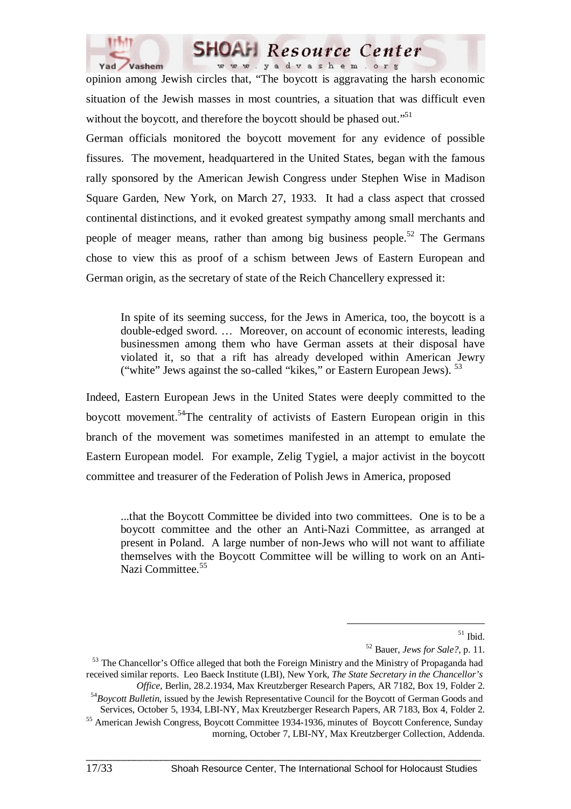



opinion among Jewish circles that, "The boycott is aggravating the harsh economic situation of the Jewish masses in most countries, a situation that was difficult even without the boycott, and therefore the boycott should be phased out."<sup>51</sup>

German officials monitored the boycott movement for any evidence of possible fissures. The movement, headquartered in the United States, began with the famous rally sponsored by the American Jewish Congress under Stephen Wise in Madison Square Garden, New York, on March 27, 1933. It had a class aspect that crossed continental distinctions, and it evoked greatest sympathy among small merchants and people of meager means, rather than among big business people.<sup>52</sup> The Germans chose to view this as proof of a schism between Jews of Eastern European and German origin, as the secretary of state of the Reich Chancellery expressed it:

In spite of its seeming success, for the Jews in America, too, the boycott is a double-edged sword. … Moreover, on account of economic interests, leading businessmen among them who have German assets at their disposal have violated it, so that a rift has already developed within American Jewry ("white" Jews against the so-called "kikes," or Eastern European Jews). <sup>53</sup>

Indeed, Eastern European Jews in the United States were deeply committed to the boycott movement.54The centrality of activists of Eastern European origin in this branch of the movement was sometimes manifested in an attempt to emulate the Eastern European model. For example, Zelig Tygiel, a major activist in the boycott committee and treasurer of the Federation of Polish Jews in America, proposed

...that the Boycott Committee be divided into two committees. One is to be a boycott committee and the other an Anti-Nazi Committee, as arranged at present in Poland. A large number of non-Jews who will not want to affiliate themselves with the Boycott Committee will be willing to work on an Anti-Nazi Committee.<sup>55</sup>

<sup>53</sup> The Chancellor's Office alleged that both the Foreign Ministry and the Ministry of Propaganda had received similar reports. Leo Baeck Institute (LBI), New York, *The State Secretary in the Chancellor's Office*, Berlin, 28.2.1934, Max Kreutzberger Research Papers, AR 7182, Box 19, Folder 2. <sup>54</sup>Boycott Bulletin, issued by the Jewish Representative Council for the Boycott of German Goods and

 $\_$  ,  $\_$  ,  $\_$  ,  $\_$  ,  $\_$  ,  $\_$  ,  $\_$  ,  $\_$  ,  $\_$  ,  $\_$  ,  $\_$  ,  $\_$  ,  $\_$  ,  $\_$  ,  $\_$  ,  $\_$  ,  $\_$  ,  $\_$  ,  $\_$ 

morning, October 7, LBI-NY, Max Kreutzberger Collection, Addenda.

 $51$  Ibid.

<sup>52</sup> Bauer, *Jews for Sale?*, p. 11.

Services, October 5, 1934, LBI-NY, Max Kreutzberger Research Papers, AR 7183, Box 4, Folder 2. <sup>55</sup> American Jewish Congress, Boycott Committee 1934-1936, minutes of Boycott Conference, Sunday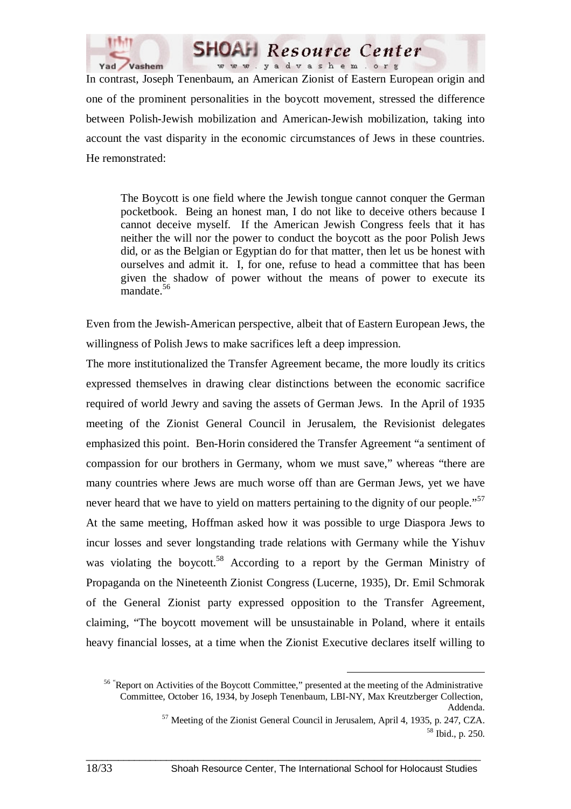

In contrast, Joseph Tenenbaum, an American Zionist of Eastern European origin and one of the prominent personalities in the boycott movement, stressed the difference between Polish-Jewish mobilization and American-Jewish mobilization, taking into account the vast disparity in the economic circumstances of Jews in these countries. He remonstrated:

**SHOAH** Resource Center www.yadvashem.org

The Boycott is one field where the Jewish tongue cannot conquer the German pocketbook. Being an honest man, I do not like to deceive others because I cannot deceive myself. If the American Jewish Congress feels that it has neither the will nor the power to conduct the boycott as the poor Polish Jews did, or as the Belgian or Egyptian do for that matter, then let us be honest with ourselves and admit it. I, for one, refuse to head a committee that has been given the shadow of power without the means of power to execute its mandate.<sup>56</sup>

Even from the Jewish-American perspective, albeit that of Eastern European Jews, the willingness of Polish Jews to make sacrifices left a deep impression.

The more institutionalized the Transfer Agreement became, the more loudly its critics expressed themselves in drawing clear distinctions between the economic sacrifice required of world Jewry and saving the assets of German Jews. In the April of 1935 meeting of the Zionist General Council in Jerusalem, the Revisionist delegates emphasized this point. Ben-Horin considered the Transfer Agreement "a sentiment of compassion for our brothers in Germany, whom we must save," whereas "there are many countries where Jews are much worse off than are German Jews, yet we have never heard that we have to yield on matters pertaining to the dignity of our people."<sup>57</sup> At the same meeting, Hoffman asked how it was possible to urge Diaspora Jews to incur losses and sever longstanding trade relations with Germany while the Yishuv was violating the boycott.<sup>58</sup> According to a report by the German Ministry of Propaganda on the Nineteenth Zionist Congress (Lucerne, 1935), Dr. Emil Schmorak of the General Zionist party expressed opposition to the Transfer Agreement, claiming, "The boycott movement will be unsustainable in Poland, where it entails heavy financial losses, at a time when the Zionist Executive declares itself willing to

<sup>&</sup>lt;sup>56</sup> "Report on Activities of the Boycott Committee," presented at the meeting of the Administrative Committee, October 16, 1934, by Joseph Tenenbaum, LBI-NY, Max Kreutzberger Collection, Addenda.

<sup>57</sup> Meeting of the Zionist General Council in Jerusalem, April 4, 1935, p. 247, CZA. 58 Ibid., p. 250.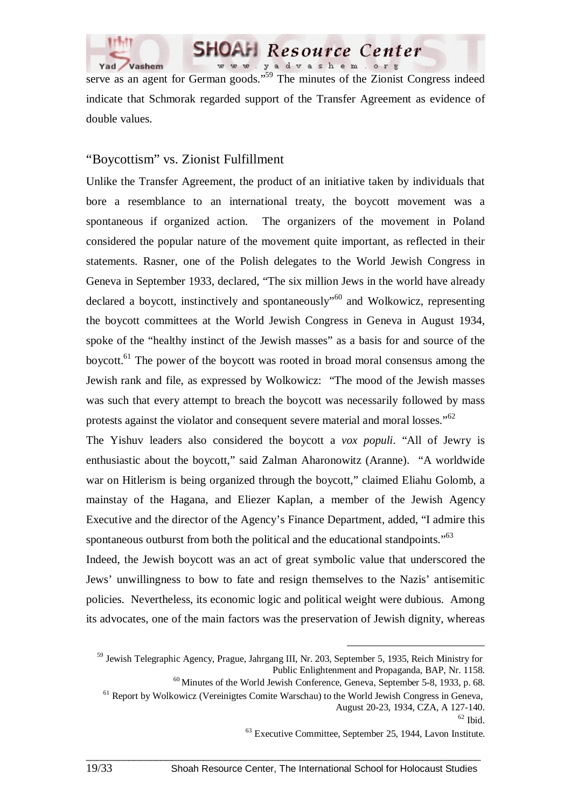

serve as an agent for German goods."<sup>59</sup> The minutes of the Zionist Congress indeed indicate that Schmorak regarded support of the Transfer Agreement as evidence of double values.

**SHOAH** Resource Center www.yadvashem.org

#### "Boycottism" vs. Zionist Fulfillment

Unlike the Transfer Agreement, the product of an initiative taken by individuals that bore a resemblance to an international treaty, the boycott movement was a spontaneous if organized action. The organizers of the movement in Poland considered the popular nature of the movement quite important, as reflected in their statements. Rasner, one of the Polish delegates to the World Jewish Congress in Geneva in September 1933, declared, "The six million Jews in the world have already declared a boycott, instinctively and spontaneously"60 and Wolkowicz, representing the boycott committees at the World Jewish Congress in Geneva in August 1934, spoke of the "healthy instinct of the Jewish masses" as a basis for and source of the boycott.61 The power of the boycott was rooted in broad moral consensus among the Jewish rank and file, as expressed by Wolkowicz: "The mood of the Jewish masses was such that every attempt to breach the boycott was necessarily followed by mass protests against the violator and consequent severe material and moral losses."<sup>62</sup>

The Yishuv leaders also considered the boycott a *vox populi*. "All of Jewry is enthusiastic about the boycott," said Zalman Aharonowitz (Aranne). "A worldwide war on Hitlerism is being organized through the boycott," claimed Eliahu Golomb, a mainstay of the Hagana, and Eliezer Kaplan, a member of the Jewish Agency Executive and the director of the Agency's Finance Department, added, "I admire this spontaneous outburst from both the political and the educational standpoints."<sup>63</sup>

Indeed, the Jewish boycott was an act of great symbolic value that underscored the Jews' unwillingness to bow to fate and resign themselves to the Nazis' antisemitic policies. Nevertheless, its economic logic and political weight were dubious. Among its advocates, one of the main factors was the preservation of Jewish dignity, whereas

<sup>&</sup>lt;sup>59</sup> Jewish Telegraphic Agency, Prague, Jahrgang III, Nr. 203, September 5, 1935, Reich Ministry for Public Enlightenment and Propaganda, BAP, Nr. 1158.

<sup>60</sup> Minutes of the World Jewish Conference, Geneva, September 5-8, 1933, p. 68.

<sup>&</sup>lt;sup>61</sup> Report by Wolkowicz (Vereinigtes Comite Warschau) to the World Jewish Congress in Geneva, August 20-23, 1934, CZA, A 127-140.

 $62$  Ibid.

<sup>63</sup> Executive Committee, September 25, 1944, Lavon Institute.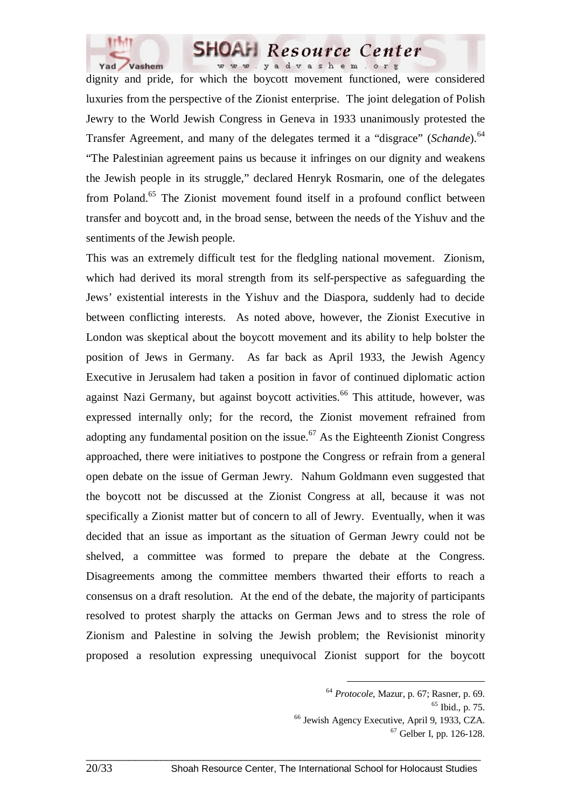

dignity and pride, for which the boycott movement functioned, were considered luxuries from the perspective of the Zionist enterprise. The joint delegation of Polish Jewry to the World Jewish Congress in Geneva in 1933 unanimously protested the Transfer Agreement, and many of the delegates termed it a "disgrace" (*Schande*).<sup>64</sup> "The Palestinian agreement pains us because it infringes on our dignity and weakens the Jewish people in its struggle," declared Henryk Rosmarin, one of the delegates from Poland.<sup>65</sup> The Zionist movement found itself in a profound conflict between transfer and boycott and, in the broad sense, between the needs of the Yishuv and the sentiments of the Jewish people.

This was an extremely difficult test for the fledgling national movement. Zionism, which had derived its moral strength from its self-perspective as safeguarding the Jews' existential interests in the Yishuv and the Diaspora, suddenly had to decide between conflicting interests. As noted above, however, the Zionist Executive in London was skeptical about the boycott movement and its ability to help bolster the position of Jews in Germany. As far back as April 1933, the Jewish Agency Executive in Jerusalem had taken a position in favor of continued diplomatic action against Nazi Germany, but against boycott activities.<sup>66</sup> This attitude, however, was expressed internally only; for the record, the Zionist movement refrained from adopting any fundamental position on the issue.<sup> $67$ </sup> As the Eighteenth Zionist Congress approached, there were initiatives to postpone the Congress or refrain from a general open debate on the issue of German Jewry. Nahum Goldmann even suggested that the boycott not be discussed at the Zionist Congress at all, because it was not specifically a Zionist matter but of concern to all of Jewry. Eventually, when it was decided that an issue as important as the situation of German Jewry could not be shelved, a committee was formed to prepare the debate at the Congress. Disagreements among the committee members thwarted their efforts to reach a consensus on a draft resolution. At the end of the debate, the majority of participants resolved to protest sharply the attacks on German Jews and to stress the role of Zionism and Palestine in solving the Jewish problem; the Revisionist minority proposed a resolution expressing unequivocal Zionist support for the boycott

 <sup>64</sup> *Protocole*, Mazur, p. 67; Rasner, p. 69.

 $65$  Ibid., p. 75.

<sup>66</sup> Jewish Agency Executive, April 9, 1933, CZA.

<sup>67</sup> Gelber I, pp. 126-128.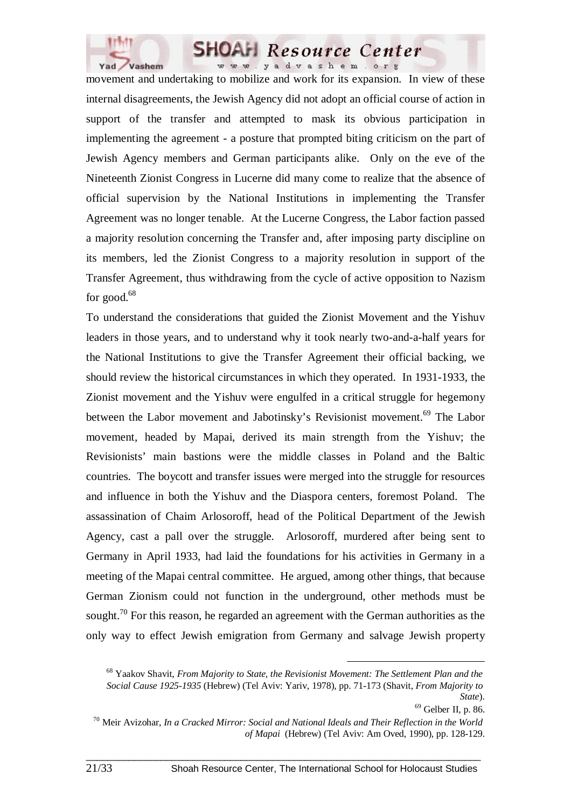

movement and undertaking to mobilize and work for its expansion. In view of these internal disagreements, the Jewish Agency did not adopt an official course of action in support of the transfer and attempted to mask its obvious participation in implementing the agreement - a posture that prompted biting criticism on the part of Jewish Agency members and German participants alike. Only on the eve of the Nineteenth Zionist Congress in Lucerne did many come to realize that the absence of official supervision by the National Institutions in implementing the Transfer Agreement was no longer tenable. At the Lucerne Congress, the Labor faction passed a majority resolution concerning the Transfer and, after imposing party discipline on its members, led the Zionist Congress to a majority resolution in support of the Transfer Agreement, thus withdrawing from the cycle of active opposition to Nazism for good. $68$ 

To understand the considerations that guided the Zionist Movement and the Yishuv leaders in those years, and to understand why it took nearly two-and-a-half years for the National Institutions to give the Transfer Agreement their official backing, we should review the historical circumstances in which they operated. In 1931-1933, the Zionist movement and the Yishuv were engulfed in a critical struggle for hegemony between the Labor movement and Jabotinsky's Revisionist movement.<sup>69</sup> The Labor movement, headed by Mapai, derived its main strength from the Yishuv; the Revisionists' main bastions were the middle classes in Poland and the Baltic countries. The boycott and transfer issues were merged into the struggle for resources and influence in both the Yishuv and the Diaspora centers, foremost Poland. The assassination of Chaim Arlosoroff, head of the Political Department of the Jewish Agency, cast a pall over the struggle. Arlosoroff, murdered after being sent to Germany in April 1933, had laid the foundations for his activities in Germany in a meeting of the Mapai central committee. He argued, among other things, that because German Zionism could not function in the underground, other methods must be sought.<sup>70</sup> For this reason, he regarded an agreement with the German authorities as the only way to effect Jewish emigration from Germany and salvage Jewish property

 <sup>68</sup> Yaakov Shavit, *From Majority to State, the Revisionist Movement: The Settlement Plan and the Social Cause 1925-1935* (Hebrew) (Tel Aviv: Yariv, 1978), pp. 71-173 (Shavit, *From Majority to State*).

<sup>69</sup> Gelber II, p. 86.

<sup>70</sup> Meir Avizohar, *In a Cracked Mirror: Social and National Ideals and Their Reflection in the World of Mapai* (Hebrew) (Tel Aviv: Am Oved, 1990), pp. 128-129.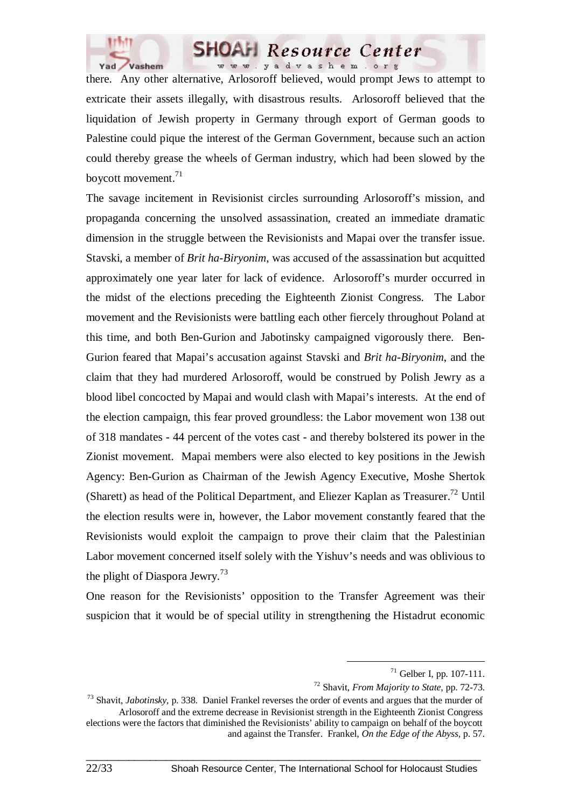

there. Any other alternative, Arlosoroff believed, would prompt Jews to attempt to extricate their assets illegally, with disastrous results. Arlosoroff believed that the liquidation of Jewish property in Germany through export of German goods to Palestine could pique the interest of the German Government, because such an action could thereby grease the wheels of German industry, which had been slowed by the boycott movement.71

The savage incitement in Revisionist circles surrounding Arlosoroff's mission, and propaganda concerning the unsolved assassination, created an immediate dramatic dimension in the struggle between the Revisionists and Mapai over the transfer issue. Stavski, a member of *Brit ha-Biryonim*, was accused of the assassination but acquitted approximately one year later for lack of evidence. Arlosoroff's murder occurred in the midst of the elections preceding the Eighteenth Zionist Congress. The Labor movement and the Revisionists were battling each other fiercely throughout Poland at this time, and both Ben-Gurion and Jabotinsky campaigned vigorously there. Ben-Gurion feared that Mapai's accusation against Stavski and *Brit ha-Biryonim*, and the claim that they had murdered Arlosoroff, would be construed by Polish Jewry as a blood libel concocted by Mapai and would clash with Mapai's interests. At the end of the election campaign, this fear proved groundless: the Labor movement won 138 out of 318 mandates - 44 percent of the votes cast - and thereby bolstered its power in the Zionist movement. Mapai members were also elected to key positions in the Jewish Agency: Ben-Gurion as Chairman of the Jewish Agency Executive, Moshe Shertok (Sharett) as head of the Political Department, and Eliezer Kaplan as Treasurer.<sup>72</sup> Until the election results were in, however, the Labor movement constantly feared that the Revisionists would exploit the campaign to prove their claim that the Palestinian Labor movement concerned itself solely with the Yishuv's needs and was oblivious to the plight of Diaspora Jewry.<sup>73</sup>

One reason for the Revisionists' opposition to the Transfer Agreement was their suspicion that it would be of special utility in strengthening the Histadrut economic

 <sup>71</sup> Gelber I, pp. 107-111.

<sup>72</sup> Shavit, *From Majority to State*, pp. 72-73.

<sup>73</sup> Shavit, *Jabotinsky,* p. 338. Daniel Frankel reverses the order of events and argues that the murder of Arlosoroff and the extreme decrease in Revisionist strength in the Eighteenth Zionist Congress elections were the factors that diminished the Revisionists' ability to campaign on behalf of the boycott and against the Transfer. Frankel, *On the Edge of the Abyss*, p. 57.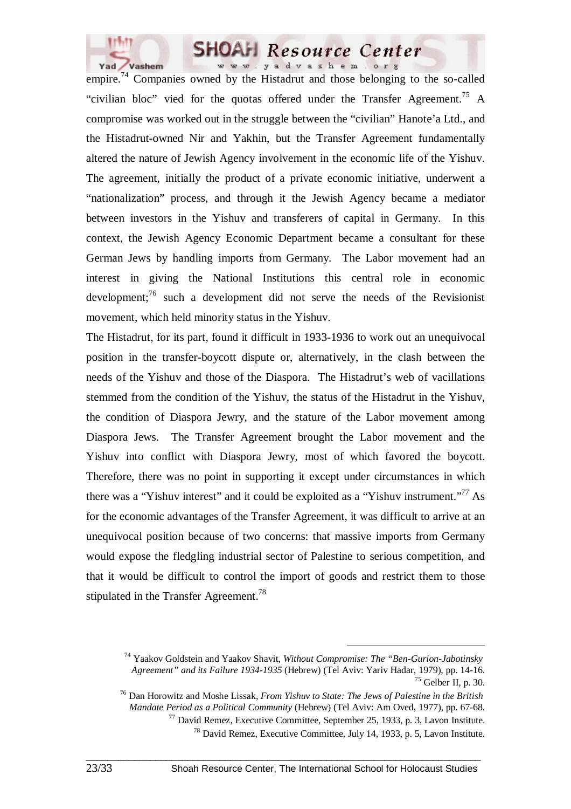

empire.<sup>74</sup> Companies owned by the Histadrut and those belonging to the so-called "civilian bloc" vied for the quotas offered under the Transfer Agreement.<sup>75</sup> A compromise was worked out in the struggle between the "civilian" Hanote'a Ltd., and the Histadrut-owned Nir and Yakhin, but the Transfer Agreement fundamentally altered the nature of Jewish Agency involvement in the economic life of the Yishuv. The agreement, initially the product of a private economic initiative, underwent a "nationalization" process, and through it the Jewish Agency became a mediator between investors in the Yishuv and transferers of capital in Germany. In this context, the Jewish Agency Economic Department became a consultant for these German Jews by handling imports from Germany. The Labor movement had an interest in giving the National Institutions this central role in economic development;<sup>76</sup> such a development did not serve the needs of the Revisionist movement, which held minority status in the Yishuv.

The Histadrut, for its part, found it difficult in 1933-1936 to work out an unequivocal position in the transfer-boycott dispute or, alternatively, in the clash between the needs of the Yishuv and those of the Diaspora. The Histadrut's web of vacillations stemmed from the condition of the Yishuv, the status of the Histadrut in the Yishuv, the condition of Diaspora Jewry, and the stature of the Labor movement among Diaspora Jews. The Transfer Agreement brought the Labor movement and the Yishuv into conflict with Diaspora Jewry, most of which favored the boycott. Therefore, there was no point in supporting it except under circumstances in which there was a "Yishuv interest" and it could be exploited as a "Yishuv instrument."<sup>77</sup> As for the economic advantages of the Transfer Agreement, it was difficult to arrive at an unequivocal position because of two concerns: that massive imports from Germany would expose the fledgling industrial sector of Palestine to serious competition, and that it would be difficult to control the import of goods and restrict them to those stipulated in the Transfer Agreement.<sup>78</sup>

 <sup>74</sup> Yaakov Goldstein and Yaakov Shavit, *Without Compromise: The "Ben-Gurion-Jabotinsky Agreement" and its Failure 1934-1935* (Hebrew) (Tel Aviv: Yariv Hadar, 1979), pp. 14-16.  $^{75}$  Gelber II, p. 30.

<sup>76</sup> Dan Horowitz and Moshe Lissak, *From Yishuv to State: The Jews of Palestine in the British Mandate Period as a Political Community* (Hebrew) (Tel Aviv: Am Oved, 1977), pp. 67-68.  $77$  David Remez, Executive Committee, September 25, 1933, p. 3, Lavon Institute.

<sup>78</sup> David Remez, Executive Committee, July 14, 1933, p. 5, Lavon Institute.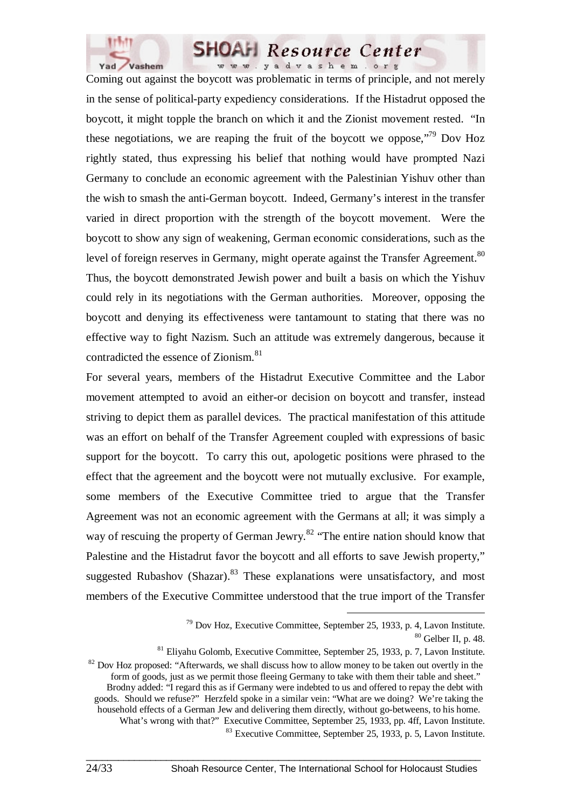

Coming out against the boycott was problematic in terms of principle, and not merely in the sense of political-party expediency considerations. If the Histadrut opposed the boycott, it might topple the branch on which it and the Zionist movement rested. "In these negotiations, we are reaping the fruit of the boycott we oppose.<sup> $79$ </sup> Dov Hoz rightly stated, thus expressing his belief that nothing would have prompted Nazi Germany to conclude an economic agreement with the Palestinian Yishuv other than the wish to smash the anti-German boycott. Indeed, Germany's interest in the transfer varied in direct proportion with the strength of the boycott movement. Were the boycott to show any sign of weakening, German economic considerations, such as the level of foreign reserves in Germany, might operate against the Transfer Agreement.<sup>80</sup> Thus, the boycott demonstrated Jewish power and built a basis on which the Yishuv could rely in its negotiations with the German authorities. Moreover, opposing the boycott and denying its effectiveness were tantamount to stating that there was no effective way to fight Nazism. Such an attitude was extremely dangerous, because it contradicted the essence of Zionism.<sup>81</sup>

For several years, members of the Histadrut Executive Committee and the Labor movement attempted to avoid an either-or decision on boycott and transfer, instead striving to depict them as parallel devices. The practical manifestation of this attitude was an effort on behalf of the Transfer Agreement coupled with expressions of basic support for the boycott. To carry this out, apologetic positions were phrased to the effect that the agreement and the boycott were not mutually exclusive. For example, some members of the Executive Committee tried to argue that the Transfer Agreement was not an economic agreement with the Germans at all; it was simply a way of rescuing the property of German Jewry.<sup>82</sup> "The entire nation should know that Palestine and the Histadrut favor the boycott and all efforts to save Jewish property," suggested Rubashov (Shazar). <sup>83</sup> These explanations were unsatisfactory, and most members of the Executive Committee understood that the true import of the Transfer

 <sup>79</sup> Dov Hoz, Executive Committee, September 25, 1933, p. 4, Lavon Institute.  $80$  Gelber II, p. 48.

<sup>81</sup> Eliyahu Golomb, Executive Committee, September 25, 1933, p. 7, Lavon Institute.

 $82$  Dov Hoz proposed: "Afterwards, we shall discuss how to allow money to be taken out overtly in the form of goods, just as we permit those fleeing Germany to take with them their table and sheet." Brodny added: "I regard this as if Germany were indebted to us and offered to repay the debt with goods. Should we refuse?" Herzfeld spoke in a similar vein: "What are we doing? We're taking the household effects of a German Jew and delivering them directly, without go-betweens, to his home. What's wrong with that?" Executive Committee, September 25, 1933, pp. 4ff, Lavon Institute. 83 Executive Committee, September 25, 1933, p. 5, Lavon Institute.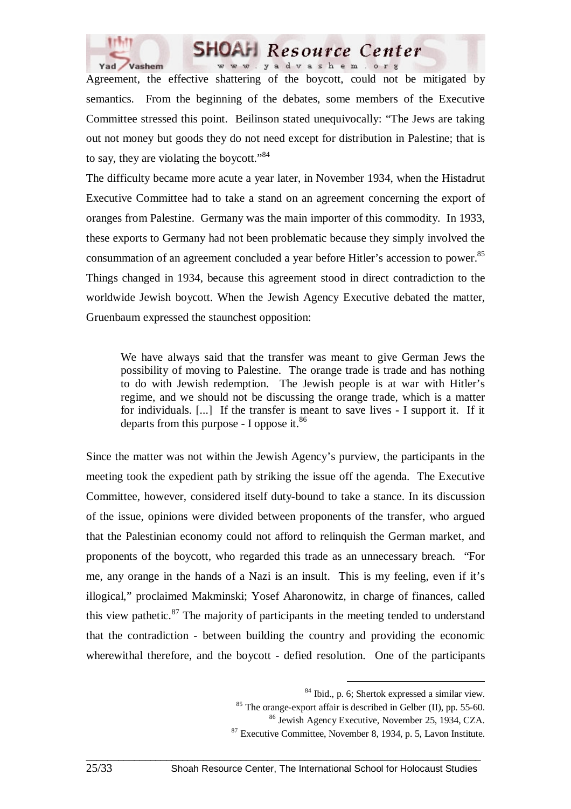



Agreement, the effective shattering of the boycott, could not be mitigated by semantics. From the beginning of the debates, some members of the Executive Committee stressed this point. Beilinson stated unequivocally: "The Jews are taking out not money but goods they do not need except for distribution in Palestine; that is to say, they are violating the boycott."<sup>84</sup>

The difficulty became more acute a year later, in November 1934, when the Histadrut Executive Committee had to take a stand on an agreement concerning the export of oranges from Palestine. Germany was the main importer of this commodity. In 1933, these exports to Germany had not been problematic because they simply involved the consummation of an agreement concluded a year before Hitler's accession to power.<sup>85</sup> Things changed in 1934, because this agreement stood in direct contradiction to the worldwide Jewish boycott. When the Jewish Agency Executive debated the matter, Gruenbaum expressed the staunchest opposition:

We have always said that the transfer was meant to give German Jews the possibility of moving to Palestine. The orange trade is trade and has nothing to do with Jewish redemption. The Jewish people is at war with Hitler's regime, and we should not be discussing the orange trade, which is a matter for individuals. [...] If the transfer is meant to save lives - I support it. If it departs from this purpose - I oppose it. $86$ 

Since the matter was not within the Jewish Agency's purview, the participants in the meeting took the expedient path by striking the issue off the agenda. The Executive Committee, however, considered itself duty-bound to take a stance. In its discussion of the issue, opinions were divided between proponents of the transfer, who argued that the Palestinian economy could not afford to relinquish the German market, and proponents of the boycott, who regarded this trade as an unnecessary breach. "For me, any orange in the hands of a Nazi is an insult. This is my feeling, even if it's illogical," proclaimed Makminski; Yosef Aharonowitz, in charge of finances, called this view pathetic. $87$  The majority of participants in the meeting tended to understand that the contradiction - between building the country and providing the economic wherewithal therefore, and the boycott - defied resolution. One of the participants

 <sup>84</sup> Ibid., p. 6; Shertok expressed a similar view.

 $85$  The orange-export affair is described in Gelber (II), pp. 55-60.

<sup>86</sup> Jewish Agency Executive, November 25, 1934, CZA.

<sup>87</sup> Executive Committee, November 8, 1934, p. 5, Lavon Institute.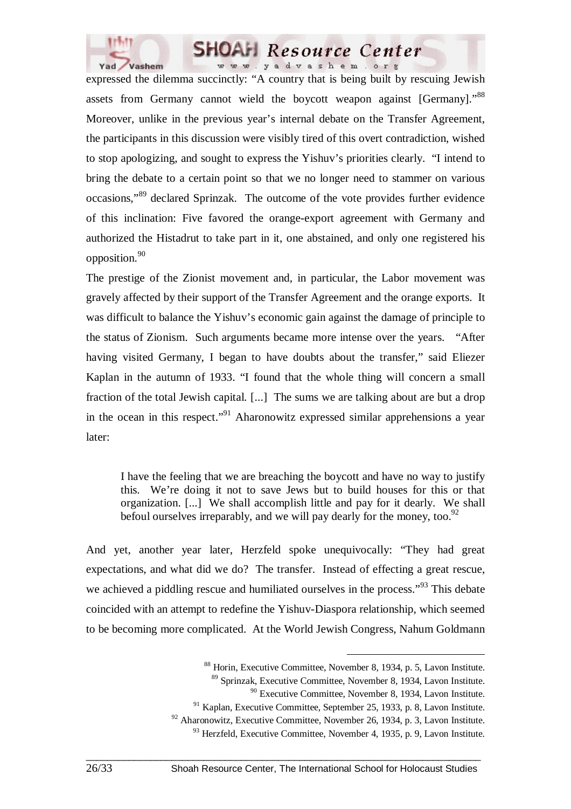

expressed the dilemma succinctly: "A country that is being built by rescuing Jewish assets from Germany cannot wield the boycott weapon against [Germany]."<sup>88</sup> Moreover, unlike in the previous year's internal debate on the Transfer Agreement, the participants in this discussion were visibly tired of this overt contradiction, wished to stop apologizing, and sought to express the Yishuv's priorities clearly. "I intend to bring the debate to a certain point so that we no longer need to stammer on various occasions,"89 declared Sprinzak. The outcome of the vote provides further evidence of this inclination: Five favored the orange-export agreement with Germany and authorized the Histadrut to take part in it, one abstained, and only one registered his opposition.<sup>90</sup>

The prestige of the Zionist movement and, in particular, the Labor movement was gravely affected by their support of the Transfer Agreement and the orange exports. It was difficult to balance the Yishuv's economic gain against the damage of principle to the status of Zionism. Such arguments became more intense over the years. "After having visited Germany, I began to have doubts about the transfer," said Eliezer Kaplan in the autumn of 1933. "I found that the whole thing will concern a small fraction of the total Jewish capital. [...] The sums we are talking about are but a drop in the ocean in this respect."<sup>91</sup> Aharonowitz expressed similar apprehensions a year later:

I have the feeling that we are breaching the boycott and have no way to justify this. We're doing it not to save Jews but to build houses for this or that organization. [...] We shall accomplish little and pay for it dearly. We shall befoul ourselves irreparably, and we will pay dearly for the money, too.<sup>92</sup>

And yet, another year later, Herzfeld spoke unequivocally: "They had great expectations, and what did we do? The transfer. Instead of effecting a great rescue, we achieved a piddling rescue and humiliated ourselves in the process."<sup>93</sup> This debate coincided with an attempt to redefine the Yishuv-Diaspora relationship, which seemed to be becoming more complicated. At the World Jewish Congress, Nahum Goldmann

 <sup>88</sup> Horin, Executive Committee, November 8, 1934, p. 5, Lavon Institute.

<sup>89</sup> Sprinzak, Executive Committee, November 8, 1934, Lavon Institute.

<sup>90</sup> Executive Committee, November 8, 1934, Lavon Institute.

 $91$  Kaplan, Executive Committee, September 25, 1933, p. 8, Lavon Institute.

<sup>&</sup>lt;sup>92</sup> Aharonowitz, Executive Committee, November 26, 1934, p. 3, Lavon Institute.

 $93$  Herzfeld, Executive Committee, November 4, 1935, p. 9, Lavon Institute.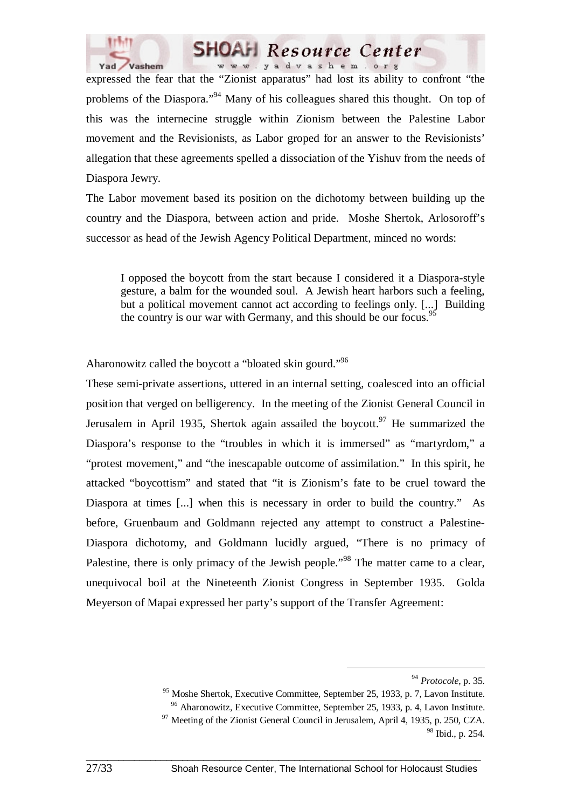

expressed the fear that the "Zionist apparatus" had lost its ability to confront "the problems of the Diaspora."<sup>94</sup> Many of his colleagues shared this thought. On top of this was the internecine struggle within Zionism between the Palestine Labor movement and the Revisionists, as Labor groped for an answer to the Revisionists' allegation that these agreements spelled a dissociation of the Yishuv from the needs of Diaspora Jewry.

**SHOAH** Resource Center www.yadvashem.org

The Labor movement based its position on the dichotomy between building up the country and the Diaspora, between action and pride. Moshe Shertok, Arlosoroff's successor as head of the Jewish Agency Political Department, minced no words:

I opposed the boycott from the start because I considered it a Diaspora-style gesture, a balm for the wounded soul. A Jewish heart harbors such a feeling, but a political movement cannot act according to feelings only. [...] Building the country is our war with Germany, and this should be our focus.<sup>95</sup>

Aharonowitz called the boycott a "bloated skin gourd."<sup>96</sup>

These semi-private assertions, uttered in an internal setting, coalesced into an official position that verged on belligerency. In the meeting of the Zionist General Council in Jerusalem in April 1935, Shertok again assailed the boycott.<sup>97</sup> He summarized the Diaspora's response to the "troubles in which it is immersed" as "martyrdom," a "protest movement," and "the inescapable outcome of assimilation." In this spirit, he attacked "boycottism" and stated that "it is Zionism's fate to be cruel toward the Diaspora at times [...] when this is necessary in order to build the country." As before, Gruenbaum and Goldmann rejected any attempt to construct a Palestine-Diaspora dichotomy, and Goldmann lucidly argued, "There is no primacy of Palestine, there is only primacy of the Jewish people."<sup>98</sup> The matter came to a clear, unequivocal boil at the Nineteenth Zionist Congress in September 1935. Golda Meyerson of Mapai expressed her party's support of the Transfer Agreement:

 <sup>94</sup> *Protocole*, p. 35.

<sup>95</sup> Moshe Shertok, Executive Committee, September 25, 1933, p. 7, Lavon Institute.

<sup>96</sup> Aharonowitz, Executive Committee, September 25, 1933, p. 4, Lavon Institute.

 $97$  Meeting of the Zionist General Council in Jerusalem, April 4, 1935, p. 250, CZA. 98 Ibid., p. 254.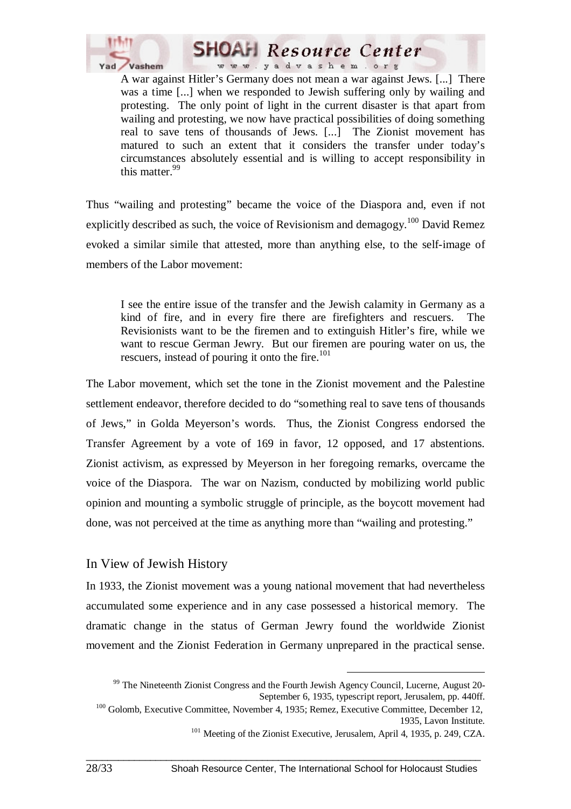

A war against Hitler's Germany does not mean a war against Jews. [...] There was a time [...] when we responded to Jewish suffering only by wailing and protesting. The only point of light in the current disaster is that apart from wailing and protesting, we now have practical possibilities of doing something real to save tens of thousands of Jews. [...] The Zionist movement has matured to such an extent that it considers the transfer under today's circumstances absolutely essential and is willing to accept responsibility in this matter.<sup>99</sup>

Thus "wailing and protesting" became the voice of the Diaspora and, even if not explicitly described as such, the voice of Revisionism and demagogy.<sup>100</sup> David Remez evoked a similar simile that attested, more than anything else, to the self-image of members of the Labor movement:

I see the entire issue of the transfer and the Jewish calamity in Germany as a kind of fire, and in every fire there are firefighters and rescuers. The Revisionists want to be the firemen and to extinguish Hitler's fire, while we want to rescue German Jewry. But our firemen are pouring water on us, the rescuers, instead of pouring it onto the fire. $101$ 

The Labor movement, which set the tone in the Zionist movement and the Palestine settlement endeavor, therefore decided to do "something real to save tens of thousands of Jews," in Golda Meyerson's words. Thus, the Zionist Congress endorsed the Transfer Agreement by a vote of 169 in favor, 12 opposed, and 17 abstentions. Zionist activism, as expressed by Meyerson in her foregoing remarks, overcame the voice of the Diaspora. The war on Nazism, conducted by mobilizing world public opinion and mounting a symbolic struggle of principle, as the boycott movement had done, was not perceived at the time as anything more than "wailing and protesting."

#### In View of Jewish History

In 1933, the Zionist movement was a young national movement that had nevertheless accumulated some experience and in any case possessed a historical memory. The dramatic change in the status of German Jewry found the worldwide Zionist movement and the Zionist Federation in Germany unprepared in the practical sense.

 <sup>99</sup> The Nineteenth Zionist Congress and the Fourth Jewish Agency Council, Lucerne, August 20- September 6, 1935, typescript report, Jerusalem, pp. 440ff.

<sup>&</sup>lt;sup>100</sup> Golomb, Executive Committee, November 4, 1935; Remez, Executive Committee, December 12, 1935, Lavon Institute.

<sup>&</sup>lt;sup>101</sup> Meeting of the Zionist Executive, Jerusalem, April 4, 1935, p. 249, CZA.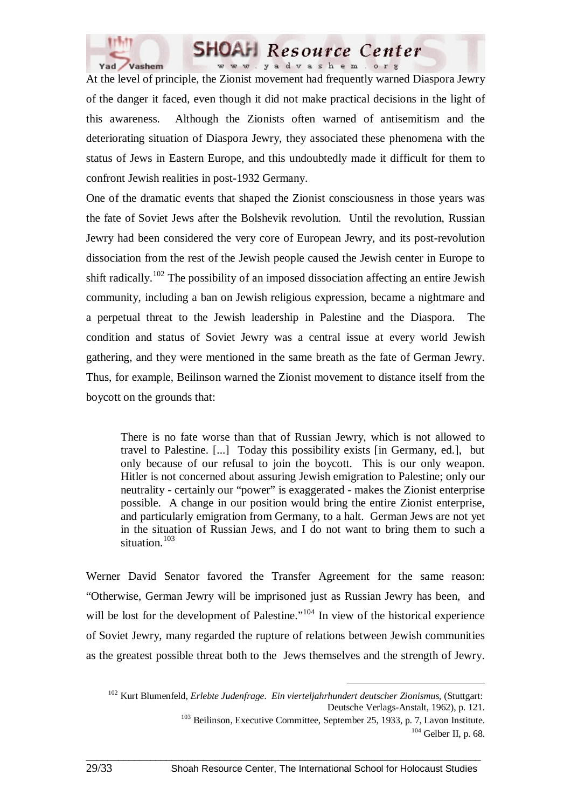

At the level of principle, the Zionist movement had frequently warned Diaspora Jewry of the danger it faced, even though it did not make practical decisions in the light of this awareness. Although the Zionists often warned of antisemitism and the deteriorating situation of Diaspora Jewry, they associated these phenomena with the status of Jews in Eastern Europe, and this undoubtedly made it difficult for them to confront Jewish realities in post-1932 Germany.

One of the dramatic events that shaped the Zionist consciousness in those years was the fate of Soviet Jews after the Bolshevik revolution. Until the revolution, Russian Jewry had been considered the very core of European Jewry, and its post-revolution dissociation from the rest of the Jewish people caused the Jewish center in Europe to shift radically.<sup>102</sup> The possibility of an imposed dissociation affecting an entire Jewish community, including a ban on Jewish religious expression, became a nightmare and a perpetual threat to the Jewish leadership in Palestine and the Diaspora. The condition and status of Soviet Jewry was a central issue at every world Jewish gathering, and they were mentioned in the same breath as the fate of German Jewry. Thus, for example, Beilinson warned the Zionist movement to distance itself from the boycott on the grounds that:

There is no fate worse than that of Russian Jewry, which is not allowed to travel to Palestine. [...] Today this possibility exists [in Germany, ed.], but only because of our refusal to join the boycott. This is our only weapon. Hitler is not concerned about assuring Jewish emigration to Palestine; only our neutrality - certainly our "power" is exaggerated - makes the Zionist enterprise possible. A change in our position would bring the entire Zionist enterprise, and particularly emigration from Germany, to a halt. German Jews are not yet in the situation of Russian Jews, and I do not want to bring them to such a situation.<sup>103</sup>

Werner David Senator favored the Transfer Agreement for the same reason: "Otherwise, German Jewry will be imprisoned just as Russian Jewry has been, and will be lost for the development of Palestine."<sup>104</sup> In view of the historical experience of Soviet Jewry, many regarded the rupture of relations between Jewish communities as the greatest possible threat both to the Jews themselves and the strength of Jewry.

 <sup>102</sup> Kurt Blumenfeld, *Erlebte Judenfrage. Ein vierteljahrhundert deutscher Zionismus,* (Stuttgart: Deutsche Verlags-Anstalt, 1962), p. 121. <sup>103</sup> Beilinson, Executive Committee, September 25, 1933, p. 7, Lavon Institute.  $104$  Gelber II, p. 68.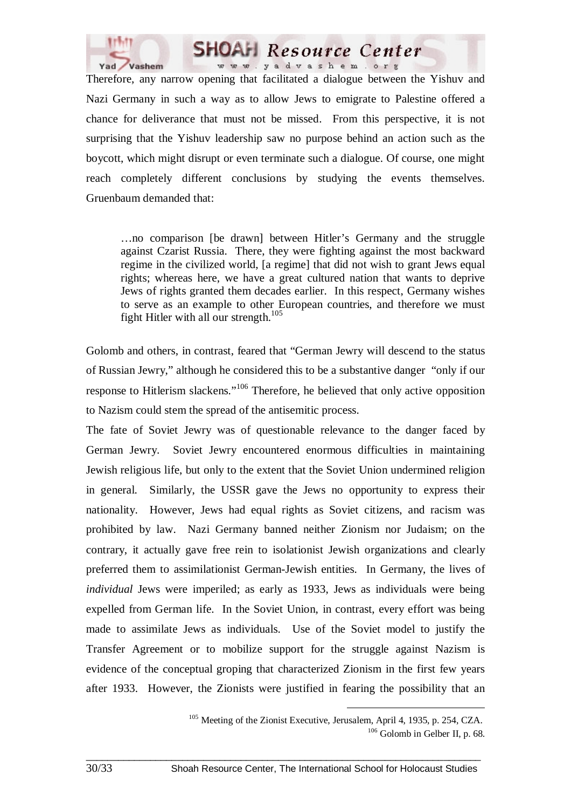

Therefore, any narrow opening that facilitated a dialogue between the Yishuv and Nazi Germany in such a way as to allow Jews to emigrate to Palestine offered a chance for deliverance that must not be missed. From this perspective, it is not surprising that the Yishuv leadership saw no purpose behind an action such as the boycott, which might disrupt or even terminate such a dialogue. Of course, one might reach completely different conclusions by studying the events themselves. Gruenbaum demanded that:

**SHOAH** Resource Center www.yadvashem.org

…no comparison [be drawn] between Hitler's Germany and the struggle against Czarist Russia. There, they were fighting against the most backward regime in the civilized world, [a regime] that did not wish to grant Jews equal rights; whereas here, we have a great cultured nation that wants to deprive Jews of rights granted them decades earlier. In this respect, Germany wishes to serve as an example to other European countries, and therefore we must fight Hitler with all our strength. $105$ 

Golomb and others, in contrast, feared that "German Jewry will descend to the status of Russian Jewry," although he considered this to be a substantive danger "only if our response to Hitlerism slackens."106 Therefore, he believed that only active opposition to Nazism could stem the spread of the antisemitic process.

The fate of Soviet Jewry was of questionable relevance to the danger faced by German Jewry. Soviet Jewry encountered enormous difficulties in maintaining Jewish religious life, but only to the extent that the Soviet Union undermined religion in general. Similarly, the USSR gave the Jews no opportunity to express their nationality. However, Jews had equal rights as Soviet citizens, and racism was prohibited by law. Nazi Germany banned neither Zionism nor Judaism; on the contrary, it actually gave free rein to isolationist Jewish organizations and clearly preferred them to assimilationist German-Jewish entities. In Germany, the lives of *individual* Jews were imperiled; as early as 1933, Jews as individuals were being expelled from German life. In the Soviet Union, in contrast, every effort was being made to assimilate Jews as individuals. Use of the Soviet model to justify the Transfer Agreement or to mobilize support for the struggle against Nazism is evidence of the conceptual groping that characterized Zionism in the first few years after 1933. However, the Zionists were justified in fearing the possibility that an

<sup>&</sup>lt;sup>105</sup> Meeting of the Zionist Executive, Jerusalem, April 4, 1935, p. 254, CZA.<br><sup>106</sup> Golomb in Gelber II, p. 68.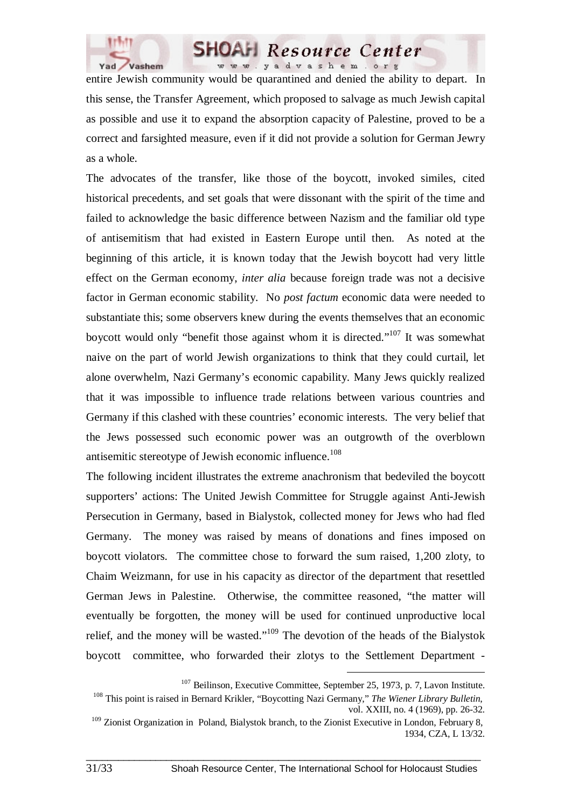

entire Jewish community would be quarantined and denied the ability to depart. In this sense, the Transfer Agreement, which proposed to salvage as much Jewish capital as possible and use it to expand the absorption capacity of Palestine, proved to be a correct and farsighted measure, even if it did not provide a solution for German Jewry as a whole.

**SHOAH** Resource Center www.yadvashem.org

The advocates of the transfer, like those of the boycott, invoked similes, cited historical precedents, and set goals that were dissonant with the spirit of the time and failed to acknowledge the basic difference between Nazism and the familiar old type of antisemitism that had existed in Eastern Europe until then. As noted at the beginning of this article, it is known today that the Jewish boycott had very little effect on the German economy, *inter alia* because foreign trade was not a decisive factor in German economic stability. No *post factum* economic data were needed to substantiate this; some observers knew during the events themselves that an economic boycott would only "benefit those against whom it is directed."107 It was somewhat naive on the part of world Jewish organizations to think that they could curtail, let alone overwhelm, Nazi Germany's economic capability. Many Jews quickly realized that it was impossible to influence trade relations between various countries and Germany if this clashed with these countries' economic interests. The very belief that the Jews possessed such economic power was an outgrowth of the overblown antisemitic stereotype of Jewish economic influence.<sup>108</sup>

The following incident illustrates the extreme anachronism that bedeviled the boycott supporters' actions: The United Jewish Committee for Struggle against Anti-Jewish Persecution in Germany, based in Bialystok, collected money for Jews who had fled Germany. The money was raised by means of donations and fines imposed on boycott violators. The committee chose to forward the sum raised, 1,200 zloty, to Chaim Weizmann, for use in his capacity as director of the department that resettled German Jews in Palestine. Otherwise, the committee reasoned, "the matter will eventually be forgotten, the money will be used for continued unproductive local relief, and the money will be wasted."109 The devotion of the heads of the Bialystok boycott committee, who forwarded their zlotys to the Settlement Department -

<sup>&</sup>lt;sup>107</sup> Beilinson, Executive Committee, September 25, 1973, p. 7, Lavon Institute.

<sup>108</sup> This point is raised in Bernard Krikler, "Boycotting Nazi Germany," *The Wiener Library Bulletin*, vol. XXIII, no. 4 (1969), pp. 26-32.

 $109$  Zionist Organization in Poland, Bialystok branch, to the Zionist Executive in London, February 8, 1934, CZA, L 13/32.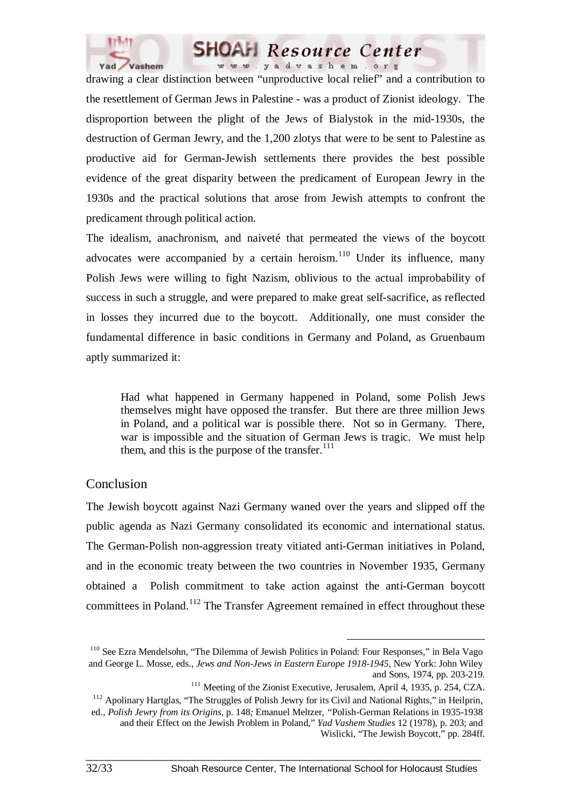



drawing a clear distinction between "unproductive local relief" and a contribution to the resettlement of German Jews in Palestine - was a product of Zionist ideology. The disproportion between the plight of the Jews of Bialystok in the mid-1930s, the destruction of German Jewry, and the 1,200 zlotys that were to be sent to Palestine as productive aid for German-Jewish settlements there provides the best possible evidence of the great disparity between the predicament of European Jewry in the 1930s and the practical solutions that arose from Jewish attempts to confront the predicament through political action.

The idealism, anachronism, and naiveté that permeated the views of the boycott advocates were accompanied by a certain heroism.<sup>110</sup> Under its influence, many Polish Jews were willing to fight Nazism, oblivious to the actual improbability of success in such a struggle, and were prepared to make great self-sacrifice, as reflected in losses they incurred due to the boycott. Additionally, one must consider the fundamental difference in basic conditions in Germany and Poland, as Gruenbaum aptly summarized it:

Had what happened in Germany happened in Poland, some Polish Jews themselves might have opposed the transfer. But there are three million Jews in Poland, and a political war is possible there. Not so in Germany. There, war is impossible and the situation of German Jews is tragic. We must help them, and this is the purpose of the transfer. $111$ 

#### Conclusion

The Jewish boycott against Nazi Germany waned over the years and slipped off the public agenda as Nazi Germany consolidated its economic and international status. The German-Polish non-aggression treaty vitiated anti-German initiatives in Poland, and in the economic treaty between the two countries in November 1935, Germany obtained a Polish commitment to take action against the anti-German boycott committees in Poland.<sup>112</sup> The Transfer Agreement remained in effect throughout these

 <sup>110</sup> See Ezra Mendelsohn, "The Dilemma of Jewish Politics in Poland: Four Responses," in Bela Vago and George L. Mosse, eds., *Jews and Non-Jews in Eastern Europe 1918-1945,* New York: John Wiley and Sons, 1974, pp. 203-219.

<sup>&</sup>lt;sup>111</sup> Meeting of the Zionist Executive, Jerusalem, April 4, 1935, p. 254, CZA.

<sup>&</sup>lt;sup>112</sup> Apolinary Hartglas, "The Struggles of Polish Jewry for its Civil and National Rights," in Heilprin,

ed., *Polish Jewry from its Origins*, p. 148*;* Emanuel Meltzer, *"*Polish-German Relations in 1935-1938 and their Effect on the Jewish Problem in Poland," *Yad Vashem Studies* 12 (1978), p. 203; and Wislicki, "The Jewish Boycott," pp. 284ff.